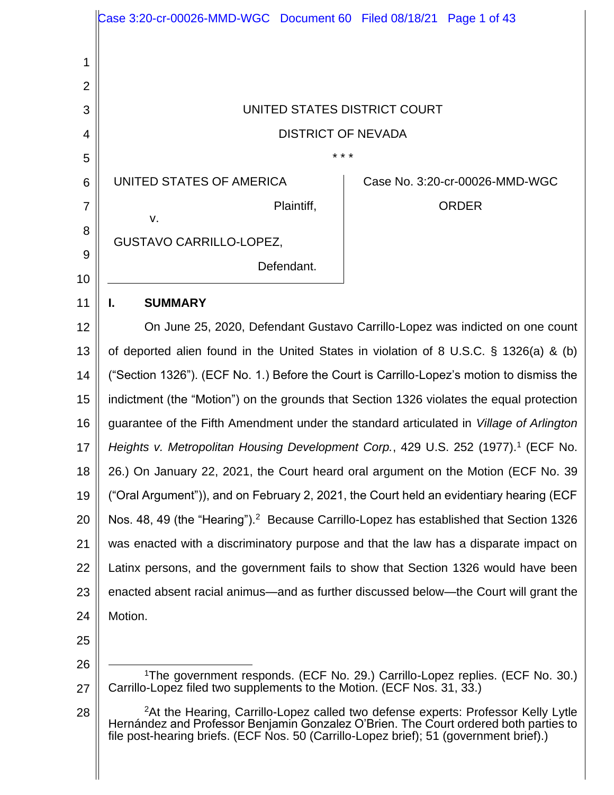|                | Case 3:20-cr-00026-MMD-WGC Document 60 Filed 08/18/21 Page 1 of 43                                                                                                                                                                                                              |
|----------------|---------------------------------------------------------------------------------------------------------------------------------------------------------------------------------------------------------------------------------------------------------------------------------|
|                |                                                                                                                                                                                                                                                                                 |
| 1              |                                                                                                                                                                                                                                                                                 |
| $\overline{2}$ |                                                                                                                                                                                                                                                                                 |
| 3              | UNITED STATES DISTRICT COURT                                                                                                                                                                                                                                                    |
| 4              | <b>DISTRICT OF NEVADA</b><br>* * *                                                                                                                                                                                                                                              |
| 5              |                                                                                                                                                                                                                                                                                 |
| 6              | UNITED STATES OF AMERICA<br>Case No. 3:20-cr-00026-MMD-WGC                                                                                                                                                                                                                      |
| $\overline{7}$ | Plaintiff,<br><b>ORDER</b><br>V.                                                                                                                                                                                                                                                |
| 8              | <b>GUSTAVO CARRILLO-LOPEZ,</b>                                                                                                                                                                                                                                                  |
| 9              | Defendant.                                                                                                                                                                                                                                                                      |
| 10<br>11       | <b>SUMMARY</b><br>I.                                                                                                                                                                                                                                                            |
| 12             | On June 25, 2020, Defendant Gustavo Carrillo-Lopez was indicted on one count                                                                                                                                                                                                    |
| 13             | of deported alien found in the United States in violation of 8 U.S.C. § 1326(a) & (b)                                                                                                                                                                                           |
| 14             | ("Section 1326"). (ECF No. 1.) Before the Court is Carrillo-Lopez's motion to dismiss the                                                                                                                                                                                       |
| 15             | indictment (the "Motion") on the grounds that Section 1326 violates the equal protection                                                                                                                                                                                        |
| 16             | guarantee of the Fifth Amendment under the standard articulated in Village of Arlington                                                                                                                                                                                         |
| 17             | Heights v. Metropolitan Housing Development Corp., 429 U.S. 252 (1977). <sup>1</sup> (ECF No.                                                                                                                                                                                   |
| 18             | 26.) On January 22, 2021, the Court heard oral argument on the Motion (ECF No. 39                                                                                                                                                                                               |
| 19             | ("Oral Argument")), and on February 2, 2021, the Court held an evidentiary hearing (ECF                                                                                                                                                                                         |
| 20             | Nos. 48, 49 (the "Hearing"). <sup>2</sup> Because Carrillo-Lopez has established that Section 1326                                                                                                                                                                              |
| 21             | was enacted with a discriminatory purpose and that the law has a disparate impact on                                                                                                                                                                                            |
| 22             | Latinx persons, and the government fails to show that Section 1326 would have been                                                                                                                                                                                              |
| 23             | enacted absent racial animus—and as further discussed below—the Court will grant the                                                                                                                                                                                            |
| 24             | Motion.                                                                                                                                                                                                                                                                         |
| 25             |                                                                                                                                                                                                                                                                                 |
| 26             |                                                                                                                                                                                                                                                                                 |
| 27             | <sup>1</sup> The government responds. (ECF No. 29.) Carrillo-Lopez replies. (ECF No. 30.)<br>Carrillo-Lopez filed two supplements to the Motion. (ECF Nos. 31, 33.)                                                                                                             |
| 28             | <sup>2</sup> At the Hearing, Carrillo-Lopez called two defense experts: Professor Kelly Lytle<br>Hernández and Professor Benjamin Gonzalez O'Brien. The Court ordered both parties to<br>file post-hearing briefs. (ECF Nos. 50 (Carrillo-Lopez brief); 51 (government brief).) |

 $\parallel$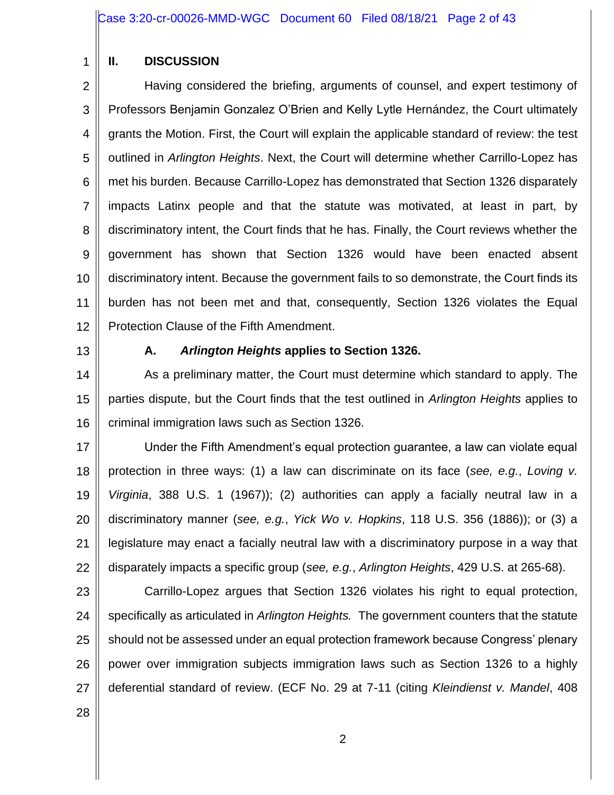# **II. DISCUSSION**

2 3 4 5 6 7 8 9 10 11 12 Having considered the briefing, arguments of counsel, and expert testimony of Professors Benjamin Gonzalez O'Brien and Kelly Lytle Hernández, the Court ultimately grants the Motion. First, the Court will explain the applicable standard of review: the test outlined in *Arlington Heights*. Next, the Court will determine whether Carrillo-Lopez has met his burden. Because Carrillo-Lopez has demonstrated that Section 1326 disparately impacts Latinx people and that the statute was motivated, at least in part, by discriminatory intent, the Court finds that he has. Finally, the Court reviews whether the government has shown that Section 1326 would have been enacted absent discriminatory intent. Because the government fails to so demonstrate, the Court finds its burden has not been met and that, consequently, Section 1326 violates the Equal Protection Clause of the Fifth Amendment.

13

1

# **A.** *Arlington Heights* **applies to Section 1326.**

14 15 16 As a preliminary matter, the Court must determine which standard to apply. The parties dispute, but the Court finds that the test outlined in *Arlington Heights* applies to criminal immigration laws such as Section 1326.

17 18 19 20 21 22 Under the Fifth Amendment's equal protection guarantee, a law can violate equal protection in three ways: (1) a law can discriminate on its face (*see, e.g.*, *Loving v. Virginia*, 388 U.S. 1 (1967)); (2) authorities can apply a facially neutral law in a discriminatory manner (*see, e.g.*, *Yick Wo v. Hopkins*, 118 U.S. 356 (1886)); or (3) a legislature may enact a facially neutral law with a discriminatory purpose in a way that disparately impacts a specific group (*see, e.g.*, *Arlington Heights*, 429 U.S. at 265-68).

23 24 25 26 27 Carrillo-Lopez argues that Section 1326 violates his right to equal protection, specifically as articulated in *Arlington Heights.* The government counters that the statute should not be assessed under an equal protection framework because Congress' plenary power over immigration subjects immigration laws such as Section 1326 to a highly deferential standard of review. (ECF No. 29 at 7-11 (citing *Kleindienst v. Mandel*, 408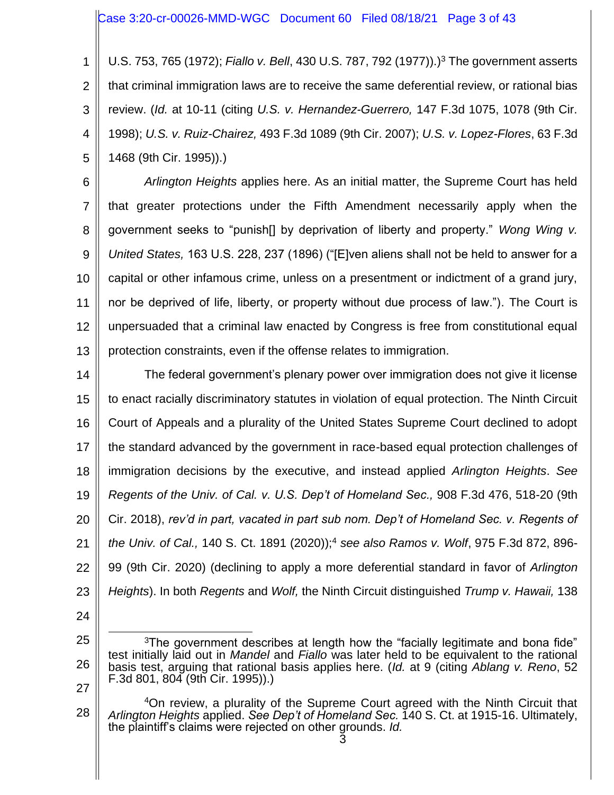1 2 3 4 5 U.S. 753, 765 (1972); *Fiallo v. Bell*, 430 U.S. 787, 792 (1977)).)<sup>3</sup> The government asserts that criminal immigration laws are to receive the same deferential review, or rational bias review. (*Id.* at 10-11 (citing *U.S. v. Hernandez-Guerrero,* 147 F.3d 1075, 1078 (9th Cir. 1998); *U.S. v. Ruiz-Chairez,* 493 F.3d 1089 (9th Cir. 2007); *U.S. v. Lopez-Flores*, 63 F.3d 1468 (9th Cir. 1995)).)

6 7 8 9 10 11 12 13 *Arlington Heights* applies here. As an initial matter, the Supreme Court has held that greater protections under the Fifth Amendment necessarily apply when the government seeks to "punish[] by deprivation of liberty and property." *Wong Wing v. United States,* 163 U.S. 228, 237 (1896) ("[E]ven aliens shall not be held to answer for a capital or other infamous crime, unless on a presentment or indictment of a grand jury, nor be deprived of life, liberty, or property without due process of law."). The Court is unpersuaded that a criminal law enacted by Congress is free from constitutional equal protection constraints, even if the offense relates to immigration.

14 15 16 17 18 19 20 21 22 23 The federal government's plenary power over immigration does not give it license to enact racially discriminatory statutes in violation of equal protection. The Ninth Circuit Court of Appeals and a plurality of the United States Supreme Court declined to adopt the standard advanced by the government in race-based equal protection challenges of immigration decisions by the executive, and instead applied *Arlington Heights*. *See Regents of the Univ. of Cal. v. U.S. Dep't of Homeland Sec.,* 908 F.3d 476, 518-20 (9th Cir. 2018), *rev'd in part, vacated in part sub nom. Dep't of Homeland Sec. v. Regents of the Univ. of Cal.,* 140 S. Ct. 1891 (2020));<sup>4</sup> *see also Ramos v. Wolf*, 975 F.3d 872, 896- 99 (9th Cir. 2020) (declining to apply a more deferential standard in favor of *Arlington Heights*). In both *Regents* and *Wolf,* the Ninth Circuit distinguished *Trump v. Hawaii,* 138

- 24
- 25

26

 $3$ The government describes at length how the "facially legitimate and bona fide" test initially laid out in *Mandel* and *Fiallo* was later held to be equivalent to the rational basis test, arguing that rational basis applies here. (*Id.* at 9 (citing *Ablang v. Reno*, 52 F.3d 801, 804 (9th Cir. 1995)).)

<sup>28</sup> <sup>4</sup>On review, a plurality of the Supreme Court agreed with the Ninth Circuit that *Arlington Heights* applied. *See Dep't of Homeland Sec.* 140 S. Ct. at 1915-16. Ultimately, the plaintiff's claims were rejected on other grounds. *Id.*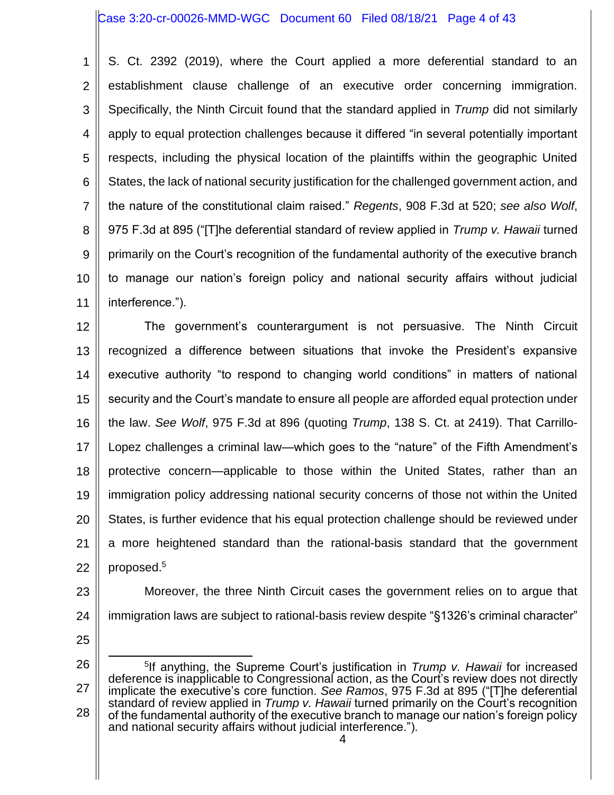1 2 3 4 5 6 7 8 9 10 11 S. Ct. 2392 (2019), where the Court applied a more deferential standard to an establishment clause challenge of an executive order concerning immigration. Specifically, the Ninth Circuit found that the standard applied in *Trump* did not similarly apply to equal protection challenges because it differed "in several potentially important respects, including the physical location of the plaintiffs within the geographic United States, the lack of national security justification for the challenged government action, and the nature of the constitutional claim raised." *Regents*, 908 F.3d at 520; *see also Wolf*, 975 F.3d at 895 ("[T]he deferential standard of review applied in *Trump v. Hawaii* turned primarily on the Court's recognition of the fundamental authority of the executive branch to manage our nation's foreign policy and national security affairs without judicial interference.").

12 13 14 15 16 17 18 19 20 21 22 The government's counterargument is not persuasive. The Ninth Circuit recognized a difference between situations that invoke the President's expansive executive authority "to respond to changing world conditions" in matters of national security and the Court's mandate to ensure all people are afforded equal protection under the law. *See Wolf*, 975 F.3d at 896 (quoting *Trump*, 138 S. Ct. at 2419). That Carrillo-Lopez challenges a criminal law—which goes to the "nature" of the Fifth Amendment's protective concern—applicable to those within the United States, rather than an immigration policy addressing national security concerns of those not within the United States, is further evidence that his equal protection challenge should be reviewed under a more heightened standard than the rational-basis standard that the government proposed. 5

- 23 Moreover, the three Ninth Circuit cases the government relies on to argue that immigration laws are subject to rational-basis review despite "§1326's criminal character"
- 24
- 25

<sup>26</sup> 27 28 5 If anything, the Supreme Court's justification in *Trump v. Hawaii* for increased deference is inapplicable to Congressional action, as the Court's review does not directly implicate the executive's core function. *See Ramos*, 975 F.3d at 895 ("[T]he deferential standard of review applied in *Trump v. Hawaii* turned primarily on the Court's recognition of the fundamental authority of the executive branch to manage our nation's foreign policy and national security affairs without judicial interference.").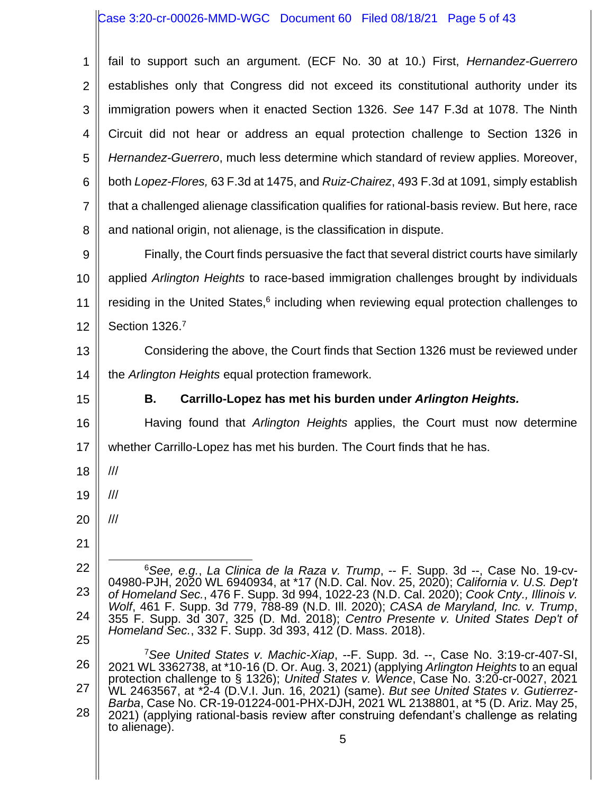# Case 3:20-cr-00026-MMD-WGC Document 60 Filed 08/18/21 Page 5 of 43

1 2 3 4 5 6 7 8 fail to support such an argument. (ECF No. 30 at 10.) First, *Hernandez-Guerrero* establishes only that Congress did not exceed its constitutional authority under its immigration powers when it enacted Section 1326. *See* 147 F.3d at 1078. The Ninth Circuit did not hear or address an equal protection challenge to Section 1326 in *Hernandez-Guerrero*, much less determine which standard of review applies. Moreover, both *Lopez-Flores,* 63 F.3d at 1475, and *Ruiz-Chairez*, 493 F.3d at 1091, simply establish that a challenged alienage classification qualifies for rational-basis review. But here, race and national origin, not alienage, is the classification in dispute.

9 10 11 12 Finally, the Court finds persuasive the fact that several district courts have similarly applied *Arlington Heights* to race-based immigration challenges brought by individuals residing in the United States,<sup>6</sup> including when reviewing equal protection challenges to Section 1326.<sup>7</sup>

13 14 Considering the above, the Court finds that Section 1326 must be reviewed under the *Arlington Heights* equal protection framework.

15

**B. Carrillo-Lopez has met his burden under** *Arlington Heights.*

16 17 Having found that *Arlington Heights* applies, the Court must now determine whether Carrillo-Lopez has met his burden. The Court finds that he has.

- 18 ///
- 19 ///
- 20 ///
- 21

<sup>22</sup> 23 24 25 <sup>6</sup>*See, e.g.*, *La Clinica de la Raza v. Trump*, -- F. Supp. 3d --, Case No. 19-cv-04980-PJH, 2020 WL 6940934, at \*17 (N.D. Cal. Nov. 25, 2020); *California v. U.S. Dep't of Homeland Sec.*, 476 F. Supp. 3d 994, 1022-23 (N.D. Cal. 2020); *Cook Cnty., Illinois v. Wolf*, 461 F. Supp. 3d 779, 788-89 (N.D. Ill. 2020); *CASA de Maryland, Inc. v. Trump*, 355 F. Supp. 3d 307, 325 (D. Md. 2018); *Centro Presente v. United States Dep't of Homeland Sec.*, 332 F. Supp. 3d 393, 412 (D. Mass. 2018).

<sup>26</sup> 27 28 <sup>7</sup>*See United States v. Machic-Xiap*, --F. Supp. 3d. --, Case No. 3:19-cr-407-SI, 2021 WL 3362738, at \*10-16 (D. Or. Aug. 3, 2021) (applying *Arlington Heights* to an equal protection challenge to § 1326); *United States v. Wence*, Case No. 3:20-cr-0027, 2021 WL 2463567, at \*2-4 (D.V.I. Jun. 16, 2021) (same). *But see United States v. Gutierrez-Barba*, Case No. CR-19-01224-001-PHX-DJH, 2021 WL 2138801, at \*5 (D. Ariz. May 25, 2021) (applying rational-basis review after construing defendant's challenge as relating to alienage).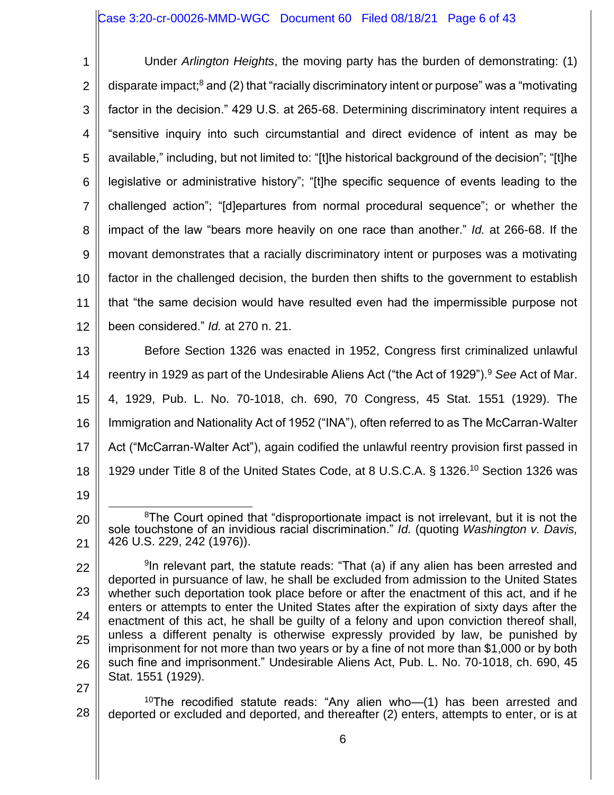# Case 3:20-cr-00026-MMD-WGC Document 60 Filed 08/18/21 Page 6 of 43

1 2 3 4 5 6 7 8 9 10 11 12 Under *Arlington Heights*, the moving party has the burden of demonstrating: (1) disparate impact;<sup>8</sup> and (2) that "racially discriminatory intent or purpose" was a "motivating" factor in the decision." 429 U.S. at 265-68. Determining discriminatory intent requires a "sensitive inquiry into such circumstantial and direct evidence of intent as may be available," including, but not limited to: "[t]he historical background of the decision"; "[t]he legislative or administrative history"; "[t]he specific sequence of events leading to the challenged action"; "[d]epartures from normal procedural sequence"; or whether the impact of the law "bears more heavily on one race than another." *Id.* at 266-68. If the movant demonstrates that a racially discriminatory intent or purposes was a motivating factor in the challenged decision, the burden then shifts to the government to establish that "the same decision would have resulted even had the impermissible purpose not been considered." *Id.* at 270 n. 21.

13 14 15 16 17 18 Before Section 1326 was enacted in 1952, Congress first criminalized unlawful reentry in 1929 as part of the Undesirable Aliens Act ("the Act of 1929").<sup>9</sup> See Act of Mar. 4, 1929, Pub. L. No. 70-1018, ch. 690, 70 Congress, 45 Stat. 1551 (1929). The Immigration and Nationality Act of 1952 ("INA"), often referred to as The McCarran-Walter Act ("McCarran-Walter Act"), again codified the unlawful reentry provision first passed in 1929 under Title 8 of the United States Code, at 8 U.S.C.A. § 1326. <sup>10</sup> Section 1326 was

19

27

28  $10$ The recodified statute reads: "Any alien who—(1) has been arrested and deported or excluded and deported, and thereafter (2) enters, attempts to enter, or is at

<sup>20</sup> 21 <sup>8</sup>The Court opined that "disproportionate impact is not irrelevant, but it is not the sole touchstone of an invidious racial discrimination." *Id.* (quoting *Washington v. Davis,*  426 U.S. 229, 242 (1976)).

<sup>22</sup> 23 24 25 26 <sup>9</sup>In relevant part, the statute reads: "That (a) if any alien has been arrested and deported in pursuance of law, he shall be excluded from admission to the United States whether such deportation took place before or after the enactment of this act, and if he enters or attempts to enter the United States after the expiration of sixty days after the enactment of this act, he shall be guilty of a felony and upon conviction thereof shall, unless a different penalty is otherwise expressly provided by law, be punished by imprisonment for not more than two years or by a fine of not more than \$1,000 or by both such fine and imprisonment." Undesirable Aliens Act, Pub. L. No. 70-1018, ch. 690, 45 Stat. 1551 (1929).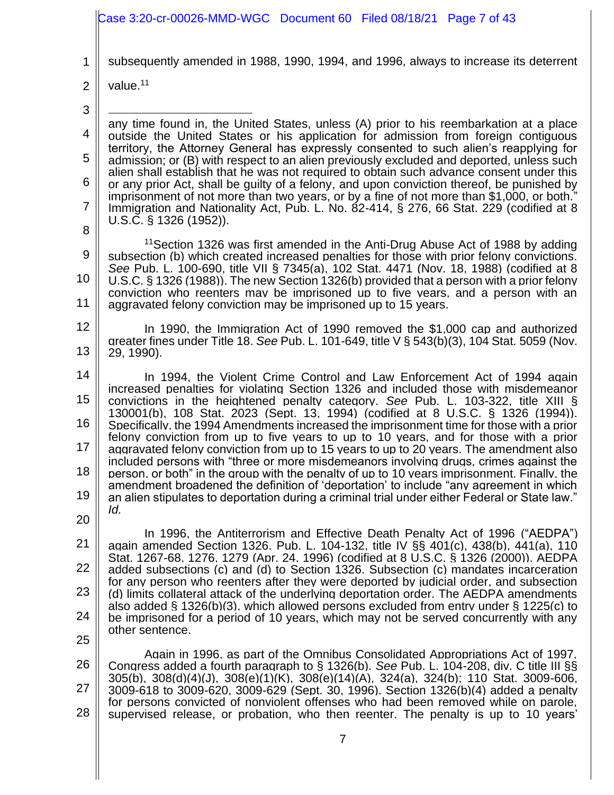|                | Case 3:20-cr-00026-MMD-WGC Document 60 Filed 08/18/21 Page 7 of 43                                                                                                                       |
|----------------|------------------------------------------------------------------------------------------------------------------------------------------------------------------------------------------|
| 1              | subsequently amended in 1988, 1990, 1994, and 1996, always to increase its deterrent                                                                                                     |
| $\overline{2}$ | value. <sup>11</sup>                                                                                                                                                                     |
| 3              |                                                                                                                                                                                          |
| $\overline{4}$ | any time found in, the United States, unless (A) prior to his reembarkation at a place<br>outside the United States or his application for admission from foreign contiguous             |
| 5              | territory, the Attorney General has expressly consented to such alien's reapplying for<br>admission; or (B) with respect to an alien previously excluded and deported, unless such       |
| 6              | alien shall establish that he was not required to obtain such advance consent under this<br>or any prior Act, shall be guilty of a felony, and upon conviction thereof, be punished by   |
| $\overline{7}$ | imprisonment of not more than two years, or by a fine of not more than \$1,000, or both."<br>Immigration and Nationality Act, Pub. L. No. 82-414, § 276, 66 Stat. 229 (codified at 8     |
| 8              | $U.S.C.$ § 1326 (1952)).                                                                                                                                                                 |
| 9              | <sup>11</sup> Section 1326 was first amended in the Anti-Drug Abuse Act of 1988 by adding<br>subsection (b) which created increased penalties for those with prior felony convictions.   |
| 10             | See Pub. L. 100-690, title VII § 7345(a), 102 Stat. 4471 (Nov. 18, 1988) (codified at 8<br>U.S.C. § 1326 (1988)). The new Section 1326(b) provided that a person with a prior felony     |
| 11             | conviction who reenters may be imprisoned up to five years, and a person with an<br>aggravated felony conviction may be imprisoned up to 15 years.                                       |
| 12             | In 1990, the Immigration Act of 1990 removed the \$1,000 cap and authorized                                                                                                              |
| 13             | greater fines under Title 18. See Pub. L. 101-649, title V § 543(b)(3), 104 Stat. 5059 (Nov.<br>29, 1990).                                                                               |
| 14             | In 1994, the Violent Crime Control and Law Enforcement Act of 1994 again                                                                                                                 |
| 15             | increased penalties for violating Section 1326 and included those with misdemeanor<br>convictions in the heightened penalty category. See Pub. L. 103-322, title XIII §                  |
| 16             | 130001(b), 108 Stat. 2023 (Sept. 13, 1994) (codified at 8 U.S.C. § 1326 (1994)).<br>Specifically, the 1994 Amendments increased the imprisonment time for those with a prior             |
| 17             | felony conviction from up to five years to up to 10 years, and for those with a prior<br>aggravated felony conviction from up to 15 years to up to 20 years. The amendment also          |
| 18             | included persons with "three or more misdemeanors involving drugs, crimes against the<br>person, or both" in the group with the penalty of up to 10 years imprisonment. Finally, the     |
| 19             | amendment broadened the definition of 'deportation' to include "any agreement in which<br>an alien stipulates to deportation during a criminal trial under either Federal or State law." |
| 20             | ld.                                                                                                                                                                                      |
| 21             | In 1996, the Antiterrorism and Effective Death Penalty Act of 1996 ("AEDPA")<br>again amended Section 1326. Pub. L. 104-132, title IV §§ 401(c), 438(b), 441(a), 110                     |
| 22             | Stat. 1267-68, 1276, 1279 (Apr. 24, 1996) (codified at 8 U.S.C. § 1326 (2000)). AEDPA<br>added subsections (c) and (d) to Section 1326. Subsection (c) mandates incarceration            |
| 23             | for any person who reenters after they were deported by judicial order, and subsection<br>(d) limits collateral attack of the underlying deportation order. The AEDPA amendments         |
| 24             | also added § 1326(b)(3), which allowed persons excluded from entry under § 1225(c) to<br>be imprisoned for a period of 10 years, which may not be served concurrently with any           |
| 25             | other sentence.                                                                                                                                                                          |
| 26             | Again in 1996, as part of the Omnibus Consolidated Appropriations Act of 1997,<br>Congress added a fourth paragraph to § 1326(b). See Pub. L. 104-208, div. C title III §§               |
| 27             | 305(b), 308(d)(4)(J), 308(e)(1)(K), 308(e)(14)(A), 324(a), 324(b); 110 Stat. 3009-606,<br>3009-618 to 3009-620, 3009-629 (Sept. 30, 1996). Section 1326(b)(4) added a penalty            |
| 28             | for persons convicted of nonviolent offenses who had been removed while on parole,<br>supervised release, or probation, who then reenter. The penalty is up to 10 years'                 |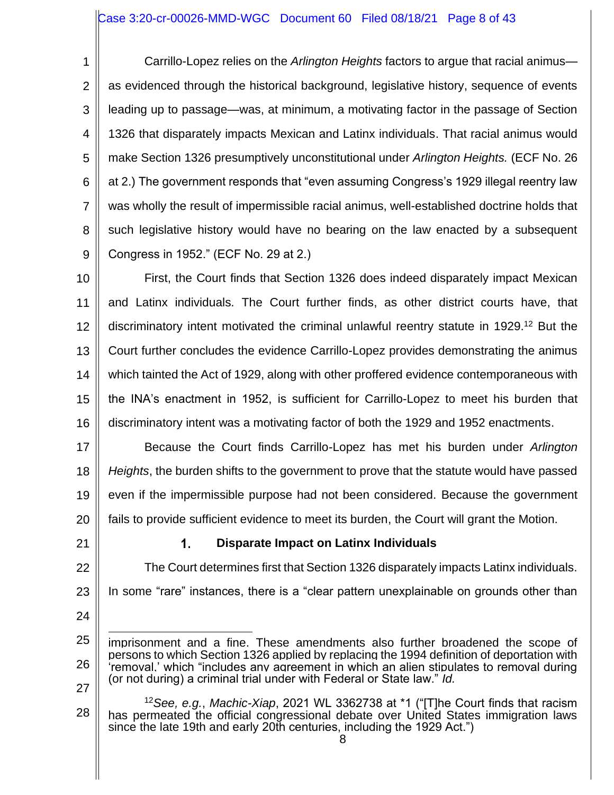1 2 3 4 5 6 7 8 9 Carrillo-Lopez relies on the *Arlington Heights* factors to argue that racial animus as evidenced through the historical background, legislative history, sequence of events leading up to passage—was, at minimum, a motivating factor in the passage of Section 1326 that disparately impacts Mexican and Latinx individuals. That racial animus would make Section 1326 presumptively unconstitutional under *Arlington Heights.* (ECF No. 26 at 2.) The government responds that "even assuming Congress's 1929 illegal reentry law was wholly the result of impermissible racial animus, well-established doctrine holds that such legislative history would have no bearing on the law enacted by a subsequent Congress in 1952." (ECF No. 29 at 2.)

10 11 12 13 14 15 16 First, the Court finds that Section 1326 does indeed disparately impact Mexican and Latinx individuals. The Court further finds, as other district courts have, that discriminatory intent motivated the criminal unlawful reentry statute in 1929.<sup>12</sup> But the Court further concludes the evidence Carrillo-Lopez provides demonstrating the animus which tainted the Act of 1929, along with other proffered evidence contemporaneous with the INA's enactment in 1952, is sufficient for Carrillo-Lopez to meet his burden that discriminatory intent was a motivating factor of both the 1929 and 1952 enactments.

17 18 19 20 Because the Court finds Carrillo-Lopez has met his burden under *Arlington Heights*, the burden shifts to the government to prove that the statute would have passed even if the impermissible purpose had not been considered. Because the government fails to provide sufficient evidence to meet its burden, the Court will grant the Motion.

21

#### $\mathbf 1$ . **Disparate Impact on Latinx Individuals**

22

The Court determines first that Section 1326 disparately impacts Latinx individuals.

- 23 In some "rare" instances, there is a "clear pattern unexplainable on grounds other than
- 24

<sup>25</sup> 26 imprisonment and a fine. These amendments also further broadened the scope of persons to which Section 1326 applied by replacing the 1994 definition of deportation with 'removal,' which "includes any agreement in which an alien stipulates to removal during (or not during) a criminal trial under with Federal or State law." *Id.*

<sup>28</sup> <sup>12</sup>*See, e.g.*, *Machic-Xiap*, 2021 WL 3362738 at \*1 ("[T]he Court finds that racism has permeated the official congressional debate over United States immigration laws since the late 19th and early 20th centuries, including the 1929 Act.")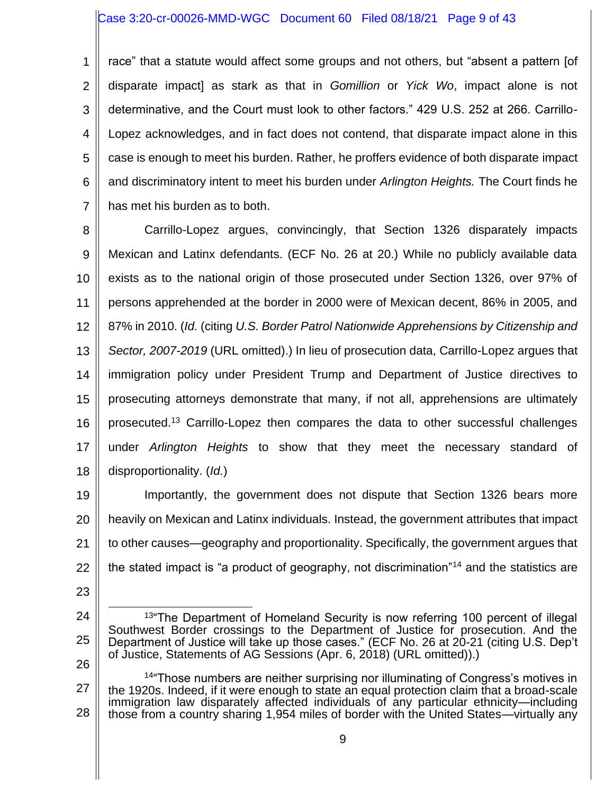## Case 3:20-cr-00026-MMD-WGC Document 60 Filed 08/18/21 Page 9 of 43

1 2 3 4 5 6 7 race" that a statute would affect some groups and not others, but "absent a pattern [of disparate impact] as stark as that in *Gomillion* or *Yick Wo*, impact alone is not determinative, and the Court must look to other factors." 429 U.S. 252 at 266. Carrillo-Lopez acknowledges, and in fact does not contend, that disparate impact alone in this case is enough to meet his burden. Rather, he proffers evidence of both disparate impact and discriminatory intent to meet his burden under *Arlington Heights.* The Court finds he has met his burden as to both.

8 9 10 11 12 13 14 15 16 17 18 Carrillo-Lopez argues, convincingly, that Section 1326 disparately impacts Mexican and Latinx defendants. (ECF No. 26 at 20.) While no publicly available data exists as to the national origin of those prosecuted under Section 1326, over 97% of persons apprehended at the border in 2000 were of Mexican decent, 86% in 2005, and 87% in 2010. (*Id.* (citing *U.S. Border Patrol Nationwide Apprehensions by Citizenship and Sector, 2007-2019* (URL omitted).) In lieu of prosecution data, Carrillo-Lopez argues that immigration policy under President Trump and Department of Justice directives to prosecuting attorneys demonstrate that many, if not all, apprehensions are ultimately prosecuted.<sup>13</sup> Carrillo-Lopez then compares the data to other successful challenges under *Arlington Heights* to show that they meet the necessary standard of disproportionality. (*Id.*)

19 20 21 22 Importantly, the government does not dispute that Section 1326 bears more heavily on Mexican and Latinx individuals. Instead, the government attributes that impact to other causes—geography and proportionality. Specifically, the government argues that the stated impact is "a product of geography, not discrimination"<sup>14</sup> and the statistics are

- 23
- 24 25 26 <sup>13</sup> The Department of Homeland Security is now referring 100 percent of illegal Southwest Border crossings to the Department of Justice for prosecution. And the Department of Justice will take up those cases." (ECF No. 26 at 20-21 (citing U.S. Dep't of Justice, Statements of AG Sessions (Apr. 6, 2018) (URL omitted)).)
- 27 28 <sup>14</sup> Those numbers are neither surprising nor illuminating of Congress's motives in the 1920s. Indeed, if it were enough to state an equal protection claim that a broad-scale immigration law disparately affected individuals of any particular ethnicity—including those from a country sharing 1,954 miles of border with the United States—virtually any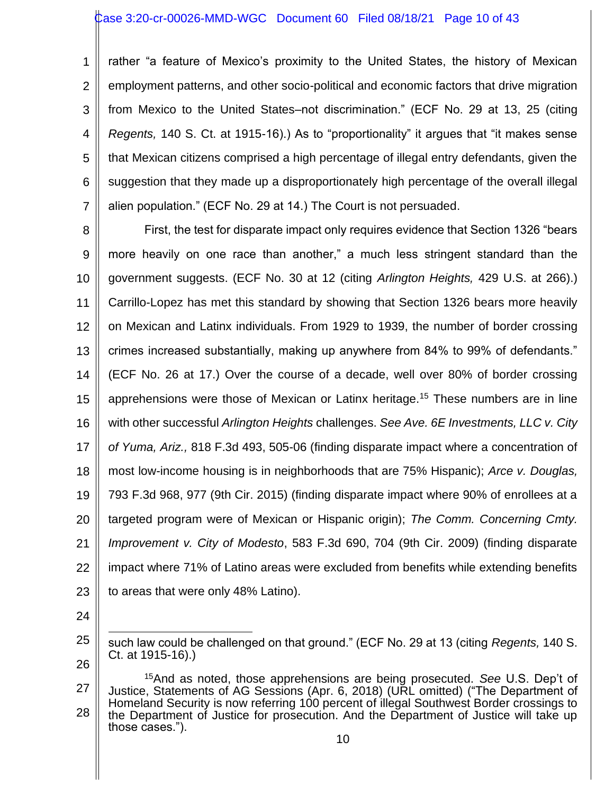# Case 3:20-cr-00026-MMD-WGC Document 60 Filed 08/18/21 Page 10 of 43

1 2 3 4 5 6 7 rather "a feature of Mexico's proximity to the United States, the history of Mexican employment patterns, and other socio-political and economic factors that drive migration from Mexico to the United States–not discrimination." (ECF No. 29 at 13, 25 (citing *Regents,* 140 S. Ct. at 1915-16).) As to "proportionality" it argues that "it makes sense that Mexican citizens comprised a high percentage of illegal entry defendants, given the suggestion that they made up a disproportionately high percentage of the overall illegal alien population." (ECF No. 29 at 14.) The Court is not persuaded.

8 9 10 11 12 13 14 15 16 17 18 19 20 21 22 23 First, the test for disparate impact only requires evidence that Section 1326 "bears more heavily on one race than another," a much less stringent standard than the government suggests. (ECF No. 30 at 12 (citing *Arlington Heights,* 429 U.S. at 266).) Carrillo-Lopez has met this standard by showing that Section 1326 bears more heavily on Mexican and Latinx individuals. From 1929 to 1939, the number of border crossing crimes increased substantially, making up anywhere from 84% to 99% of defendants." (ECF No. 26 at 17.) Over the course of a decade, well over 80% of border crossing apprehensions were those of Mexican or Latinx heritage.<sup>15</sup> These numbers are in line with other successful *Arlington Heights* challenges. *See Ave. 6E Investments, LLC v. City of Yuma, Ariz.,* 818 F.3d 493, 505-06 (finding disparate impact where a concentration of most low-income housing is in neighborhoods that are 75% Hispanic); *Arce v. Douglas,*  793 F.3d 968, 977 (9th Cir. 2015) (finding disparate impact where 90% of enrollees at a targeted program were of Mexican or Hispanic origin); *The Comm. Concerning Cmty. Improvement v. City of Modesto*, 583 F.3d 690, 704 (9th Cir. 2009) (finding disparate impact where 71% of Latino areas were excluded from benefits while extending benefits to areas that were only 48% Latino).

<sup>25</sup> 26 such law could be challenged on that ground." (ECF No. 29 at 13 (citing *Regents,* 140 S. Ct. at 1915-16).)

<sup>27</sup> 28 <sup>15</sup>And as noted, those apprehensions are being prosecuted. *See* U.S. Dep't of Justice, Statements of AG Sessions (Apr. 6, 2018) (URL omitted) ("The Department of Homeland Security is now referring 100 percent of illegal Southwest Border crossings to the Department of Justice for prosecution. And the Department of Justice will take up those cases.").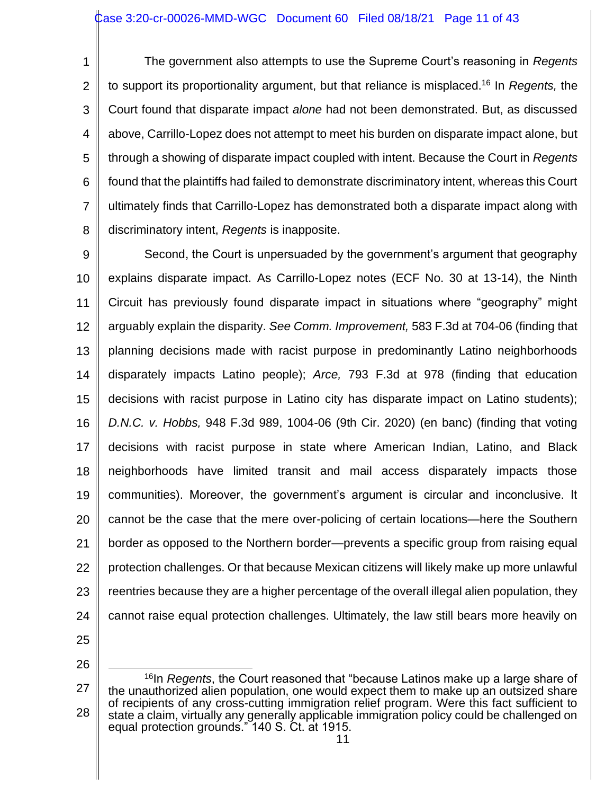1 2 3 4 5 6 7 8 The government also attempts to use the Supreme Court's reasoning in *Regents*  to support its proportionality argument, but that reliance is misplaced.<sup>16</sup> In *Regents,* the Court found that disparate impact *alone* had not been demonstrated. But, as discussed above, Carrillo-Lopez does not attempt to meet his burden on disparate impact alone, but through a showing of disparate impact coupled with intent. Because the Court in *Regents*  found that the plaintiffs had failed to demonstrate discriminatory intent, whereas this Court ultimately finds that Carrillo-Lopez has demonstrated both a disparate impact along with discriminatory intent, *Regents* is inapposite.

9 10 11 12 13 14 15 16 17 18 19 20 21 22 23 24 Second, the Court is unpersuaded by the government's argument that geography explains disparate impact. As Carrillo-Lopez notes (ECF No. 30 at 13-14), the Ninth Circuit has previously found disparate impact in situations where "geography" might arguably explain the disparity. *See Comm. Improvement,* 583 F.3d at 704-06 (finding that planning decisions made with racist purpose in predominantly Latino neighborhoods disparately impacts Latino people); *Arce,* 793 F.3d at 978 (finding that education decisions with racist purpose in Latino city has disparate impact on Latino students); *D.N.C. v. Hobbs,* 948 F.3d 989, 1004-06 (9th Cir. 2020) (en banc) (finding that voting decisions with racist purpose in state where American Indian, Latino, and Black neighborhoods have limited transit and mail access disparately impacts those communities). Moreover, the government's argument is circular and inconclusive. It cannot be the case that the mere over-policing of certain locations—here the Southern border as opposed to the Northern border—prevents a specific group from raising equal protection challenges. Or that because Mexican citizens will likely make up more unlawful reentries because they are a higher percentage of the overall illegal alien population, they cannot raise equal protection challenges. Ultimately, the law still bears more heavily on

25

<sup>27</sup> 28 <sup>16</sup>In *Regents*, the Court reasoned that "because Latinos make up a large share of the unauthorized alien population, one would expect them to make up an outsized share of recipients of any cross-cutting immigration relief program. Were this fact sufficient to state a claim, virtually any generally applicable immigration policy could be challenged on equal protection grounds." 140 S. Ct. at 1915.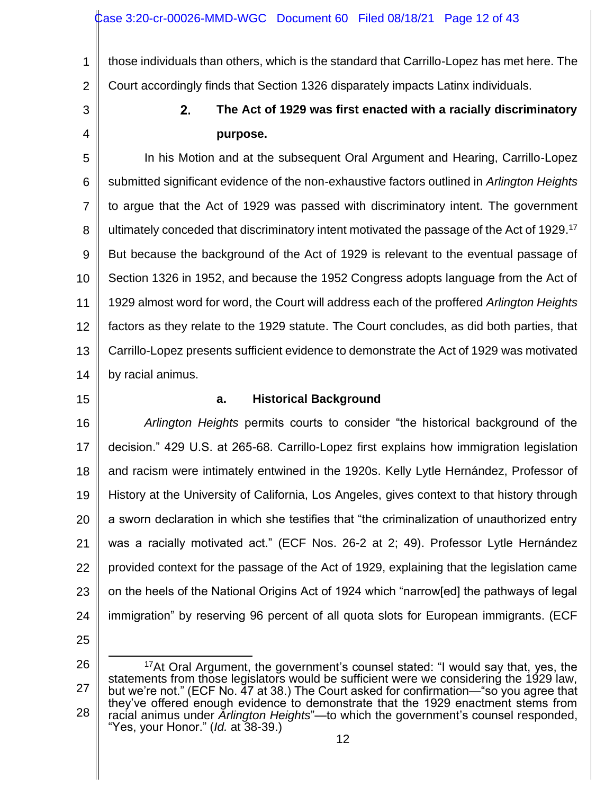1 2 those individuals than others, which is the standard that Carrillo-Lopez has met here. The Court accordingly finds that Section 1326 disparately impacts Latinx individuals.

3

 $2.$ 

4

**The Act of 1929 was first enacted with a racially discriminatory purpose.** 

5 6 7 8 9 10 11 12 13 14 In his Motion and at the subsequent Oral Argument and Hearing, Carrillo-Lopez submitted significant evidence of the non-exhaustive factors outlined in *Arlington Heights*  to argue that the Act of 1929 was passed with discriminatory intent. The government ultimately conceded that discriminatory intent motivated the passage of the Act of 1929.<sup>17</sup> But because the background of the Act of 1929 is relevant to the eventual passage of Section 1326 in 1952, and because the 1952 Congress adopts language from the Act of 1929 almost word for word, the Court will address each of the proffered *Arlington Heights* factors as they relate to the 1929 statute. The Court concludes, as did both parties, that Carrillo-Lopez presents sufficient evidence to demonstrate the Act of 1929 was motivated by racial animus.

15

# **a. Historical Background**

16 17 18 19 20 21 22 23 24 *Arlington Heights* permits courts to consider "the historical background of the decision." 429 U.S. at 265-68. Carrillo-Lopez first explains how immigration legislation and racism were intimately entwined in the 1920s. Kelly Lytle Hernández, Professor of History at the University of California, Los Angeles, gives context to that history through a sworn declaration in which she testifies that "the criminalization of unauthorized entry was a racially motivated act." (ECF Nos. 26-2 at 2; 49). Professor Lytle Hernández provided context for the passage of the Act of 1929, explaining that the legislation came on the heels of the National Origins Act of 1924 which "narrow[ed] the pathways of legal immigration" by reserving 96 percent of all quota slots for European immigrants. (ECF

<sup>26</sup> 27 28 <sup>17</sup>At Oral Argument, the government's counsel stated: "I would say that, yes, the statements from those legislators would be sufficient were we considering the 1929 law, but we're not." (ECF No. 47 at 38.) The Court asked for confirmation— "so you agree that they've offered enough evidence to demonstrate that the 1929 enactment stems from racial animus under *Arlington Heights*"—to which the government's counsel responded, "Yes, your Honor." (*Id.* at 38-39.)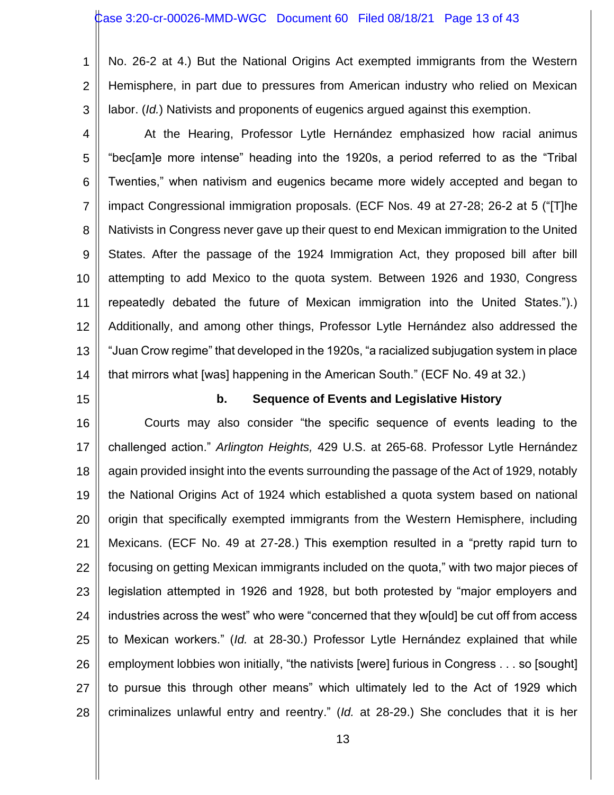1 2 3 No. 26-2 at 4.) But the National Origins Act exempted immigrants from the Western Hemisphere, in part due to pressures from American industry who relied on Mexican labor. (*Id.*) Nativists and proponents of eugenics argued against this exemption.

- 4 5 6 7 8 9 10 11 12 13 14 At the Hearing, Professor Lytle Hernández emphasized how racial animus "bec[am]e more intense" heading into the 1920s, a period referred to as the "Tribal Twenties," when nativism and eugenics became more widely accepted and began to impact Congressional immigration proposals. (ECF Nos. 49 at 27-28; 26-2 at 5 ("[T]he Nativists in Congress never gave up their quest to end Mexican immigration to the United States. After the passage of the 1924 Immigration Act, they proposed bill after bill attempting to add Mexico to the quota system. Between 1926 and 1930, Congress repeatedly debated the future of Mexican immigration into the United States.").) Additionally, and among other things, Professor Lytle Hernández also addressed the "Juan Crow regime" that developed in the 1920s, "a racialized subjugation system in place that mirrors what [was] happening in the American South." (ECF No. 49 at 32.)
- 15

### **b. Sequence of Events and Legislative History**

16 17 18 19 20 21 22 23 24 25 26 27 28 Courts may also consider "the specific sequence of events leading to the challenged action." *Arlington Heights,* 429 U.S. at 265-68. Professor Lytle Hernández again provided insight into the events surrounding the passage of the Act of 1929, notably the National Origins Act of 1924 which established a quota system based on national origin that specifically exempted immigrants from the Western Hemisphere, including Mexicans. (ECF No. 49 at 27-28.) This exemption resulted in a "pretty rapid turn to focusing on getting Mexican immigrants included on the quota," with two major pieces of legislation attempted in 1926 and 1928, but both protested by "major employers and industries across the west" who were "concerned that they w[ould] be cut off from access to Mexican workers." (*Id.* at 28-30.) Professor Lytle Hernández explained that while employment lobbies won initially, "the nativists [were] furious in Congress . . . so [sought] to pursue this through other means" which ultimately led to the Act of 1929 which criminalizes unlawful entry and reentry." (*Id.* at 28-29.) She concludes that it is her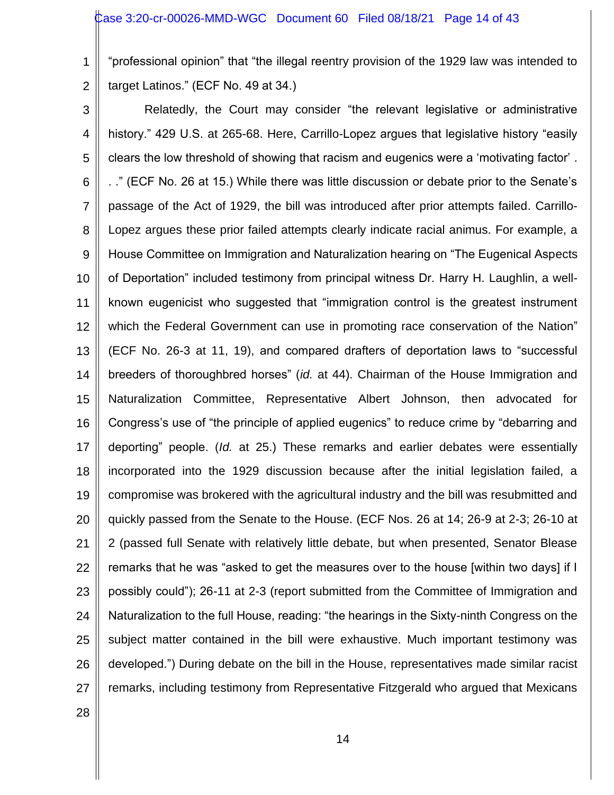1 2 "professional opinion" that "the illegal reentry provision of the 1929 law was intended to target Latinos." (ECF No. 49 at 34.)

3 4 5 6 7 8 9 10 11 12 13 14 15 16 17 18 19 20 21 22 23 24 25 26 27 Relatedly, the Court may consider "the relevant legislative or administrative history." 429 U.S. at 265-68. Here, Carrillo-Lopez argues that legislative history "easily clears the low threshold of showing that racism and eugenics were a 'motivating factor' . . ." (ECF No. 26 at 15.) While there was little discussion or debate prior to the Senate's passage of the Act of 1929, the bill was introduced after prior attempts failed. Carrillo-Lopez argues these prior failed attempts clearly indicate racial animus. For example, a House Committee on Immigration and Naturalization hearing on "The Eugenical Aspects of Deportation" included testimony from principal witness Dr. Harry H. Laughlin, a wellknown eugenicist who suggested that "immigration control is the greatest instrument which the Federal Government can use in promoting race conservation of the Nation" (ECF No. 26-3 at 11, 19), and compared drafters of deportation laws to "successful breeders of thoroughbred horses" (*id.* at 44). Chairman of the House Immigration and Naturalization Committee, Representative Albert Johnson, then advocated for Congress's use of "the principle of applied eugenics" to reduce crime by "debarring and deporting" people. (*Id.* at 25.) These remarks and earlier debates were essentially incorporated into the 1929 discussion because after the initial legislation failed, a compromise was brokered with the agricultural industry and the bill was resubmitted and quickly passed from the Senate to the House. (ECF Nos. 26 at 14; 26-9 at 2-3; 26-10 at 2 (passed full Senate with relatively little debate, but when presented, Senator Blease remarks that he was "asked to get the measures over to the house [within two days] if I possibly could"); 26-11 at 2-3 (report submitted from the Committee of Immigration and Naturalization to the full House, reading: "the hearings in the Sixty-ninth Congress on the subject matter contained in the bill were exhaustive. Much important testimony was developed.") During debate on the bill in the House, representatives made similar racist remarks, including testimony from Representative Fitzgerald who argued that Mexicans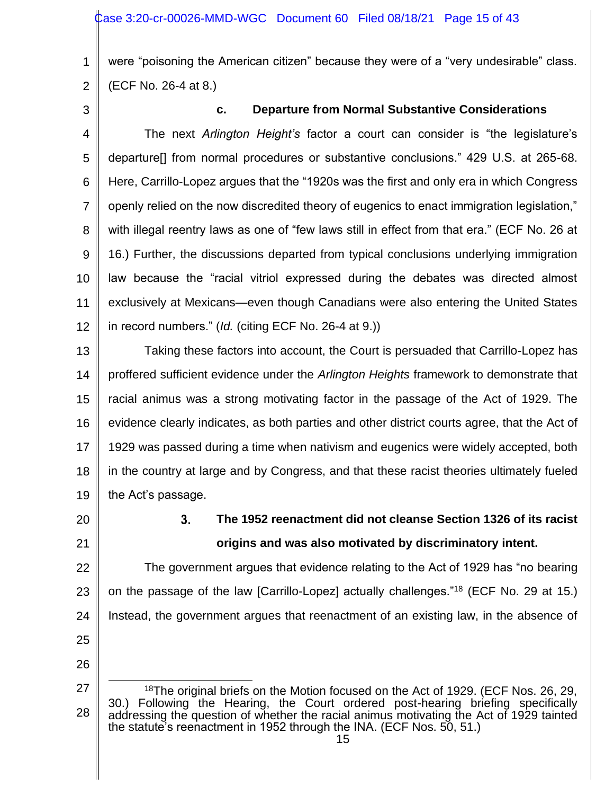were "poisoning the American citizen" because they were of a "very undesirable" class. (ECF No. 26-4 at 8.)

2 3

1

# **c. Departure from Normal Substantive Considerations**

4 5 6 7 8 9 10 11 12 The next *Arlington Height's* factor a court can consider is "the legislature's departure[] from normal procedures or substantive conclusions." 429 U.S. at 265-68. Here, Carrillo-Lopez argues that the "1920s was the first and only era in which Congress openly relied on the now discredited theory of eugenics to enact immigration legislation," with illegal reentry laws as one of "few laws still in effect from that era." (ECF No. 26 at 16.) Further, the discussions departed from typical conclusions underlying immigration law because the "racial vitriol expressed during the debates was directed almost exclusively at Mexicans—even though Canadians were also entering the United States in record numbers." (*Id.* (citing ECF No. 26-4 at 9.))

13 14 15 16 17 18 19 Taking these factors into account, the Court is persuaded that Carrillo-Lopez has proffered sufficient evidence under the *Arlington Heights* framework to demonstrate that racial animus was a strong motivating factor in the passage of the Act of 1929. The evidence clearly indicates, as both parties and other district courts agree, that the Act of 1929 was passed during a time when nativism and eugenics were widely accepted, both in the country at large and by Congress, and that these racist theories ultimately fueled the Act's passage.

20

21

#### $3<sub>-</sub>$ **The 1952 reenactment did not cleanse Section 1326 of its racist origins and was also motivated by discriminatory intent.**

22 23 24 25 The government argues that evidence relating to the Act of 1929 has "no bearing on the passage of the law [Carrillo-Lopez] actually challenges.<sup>"18</sup> (ECF No. 29 at 15.) Instead, the government argues that reenactment of an existing law, in the absence of

<sup>27</sup> 28 <sup>18</sup>The original briefs on the Motion focused on the Act of 1929. (ECF Nos. 26, 29, 30.) Following the Hearing, the Court ordered post-hearing briefing specifically addressing the question of whether the racial animus motivating the Act of 1929 tainted the statute's reenactment in 1952 through the INA. (ECF Nos. 50, 51.)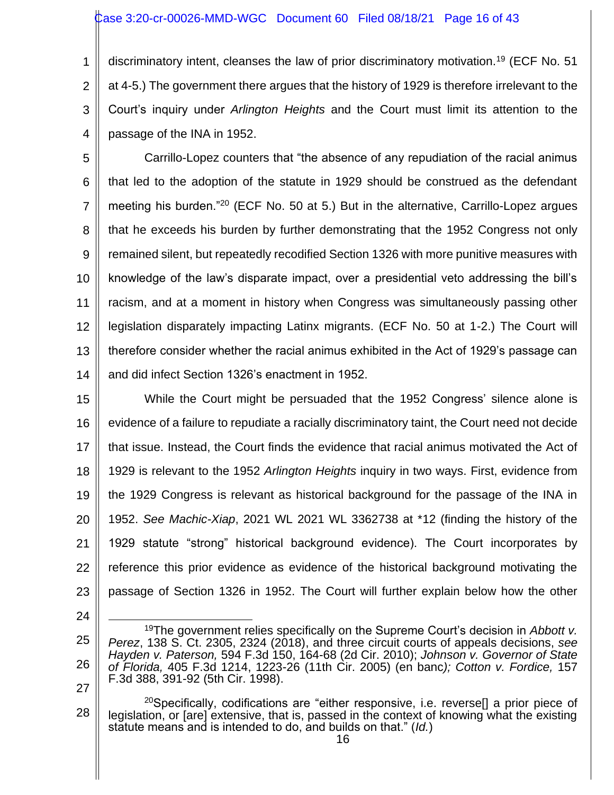### Case 3:20-cr-00026-MMD-WGC Document 60 Filed 08/18/21 Page 16 of 43

1 2 3 4 discriminatory intent, cleanses the law of prior discriminatory motivation.<sup>19</sup> (ECF No. 51 at 4-5.) The government there argues that the history of 1929 is therefore irrelevant to the Court's inquiry under *Arlington Heights* and the Court must limit its attention to the passage of the INA in 1952.

5 6 7 8 9 10 11 12 13 14 Carrillo-Lopez counters that "the absence of any repudiation of the racial animus that led to the adoption of the statute in 1929 should be construed as the defendant meeting his burden."<sup>20</sup> (ECF No. 50 at 5.) But in the alternative, Carrillo-Lopez argues that he exceeds his burden by further demonstrating that the 1952 Congress not only remained silent, but repeatedly recodified Section 1326 with more punitive measures with knowledge of the law's disparate impact, over a presidential veto addressing the bill's racism, and at a moment in history when Congress was simultaneously passing other legislation disparately impacting Latinx migrants. (ECF No. 50 at 1-2.) The Court will therefore consider whether the racial animus exhibited in the Act of 1929's passage can and did infect Section 1326's enactment in 1952.

15 16 17 18 19 20 21 22 23 While the Court might be persuaded that the 1952 Congress' silence alone is evidence of a failure to repudiate a racially discriminatory taint, the Court need not decide that issue. Instead, the Court finds the evidence that racial animus motivated the Act of 1929 is relevant to the 1952 *Arlington Heights* inquiry in two ways. First, evidence from the 1929 Congress is relevant as historical background for the passage of the INA in 1952. *See Machic-Xiap*, 2021 WL 2021 WL 3362738 at \*12 (finding the history of the 1929 statute "strong" historical background evidence). The Court incorporates by reference this prior evidence as evidence of the historical background motivating the passage of Section 1326 in 1952. The Court will further explain below how the other

24

26

27

<sup>19</sup>The government relies specifically on the Supreme Court's decision in *Abbott v. Perez*, 138 S. Ct. 2305, 2324 (2018), and three circuit courts of appeals decisions, *see Hayden v. Paterson,* 594 F.3d 150, 164-68 (2d Cir. 2010); *Johnson v. Governor of State of Florida,* 405 F.3d 1214, 1223-26 (11th Cir. 2005) (en banc*); Cotton v. Fordice,* 157 F.3d 388, 391-92 (5th Cir. 1998).

<sup>28</sup> <sup>20</sup>Specifically, codifications are "either responsive, i.e. reversell a prior piece of legislation, or [are] extensive, that is, passed in the context of knowing what the existing statute means and is intended to do, and builds on that." (*Id.*)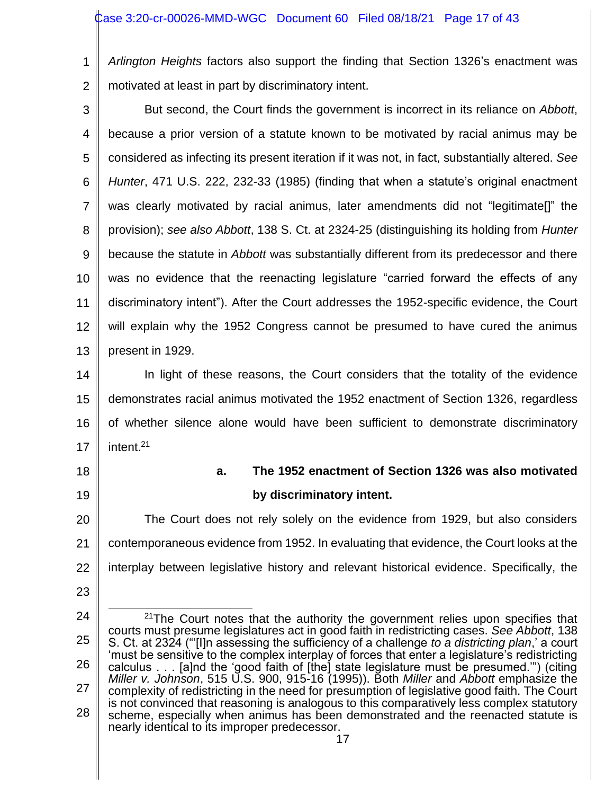1 2 *Arlington Heights* factors also support the finding that Section 1326's enactment was motivated at least in part by discriminatory intent.

3 4 5 6 7 8 9 10 11 12 13 But second, the Court finds the government is incorrect in its reliance on *Abbott*, because a prior version of a statute known to be motivated by racial animus may be considered as infecting its present iteration if it was not, in fact, substantially altered. *See Hunter*, 471 U.S. 222, 232-33 (1985) (finding that when a statute's original enactment was clearly motivated by racial animus, later amendments did not "legitimate[]" the provision); *see also Abbott*, 138 S. Ct. at 2324-25 (distinguishing its holding from *Hunter* because the statute in *Abbott* was substantially different from its predecessor and there was no evidence that the reenacting legislature "carried forward the effects of any discriminatory intent"). After the Court addresses the 1952-specific evidence, the Court will explain why the 1952 Congress cannot be presumed to have cured the animus present in 1929.

14 15 16 17 In light of these reasons, the Court considers that the totality of the evidence demonstrates racial animus motivated the 1952 enactment of Section 1326, regardless of whether silence alone would have been sufficient to demonstrate discriminatory intent. 21

18

19

# **a. The 1952 enactment of Section 1326 was also motivated by discriminatory intent.**

20 21 22 The Court does not rely solely on the evidence from 1929, but also considers contemporaneous evidence from 1952. In evaluating that evidence, the Court looks at the interplay between legislative history and relevant historical evidence. Specifically, the

- 23
- 24

<sup>25</sup> 26 27 28  $21$ The Court notes that the authority the government relies upon specifies that courts must presume legislatures act in good faith in redistricting cases. *See Abbott*, 138 S. Ct. at 2324 ("'[I]n assessing the sufficiency of a challenge *to a districting plan*,' a court 'must be sensitive to the complex interplay of forces that enter a legislature's redistricting calculus . . . [a]nd the 'good faith of [the] state legislature must be presumed.'") (citing *Miller v. Johnson*, 515 U.S. 900, 915-16 (1995)). Both *Miller* and *Abbott* emphasize the complexity of redistricting in the need for presumption of legislative good faith. The Court is not convinced that reasoning is analogous to this comparatively less complex statutory scheme, especially when animus has been demonstrated and the reenacted statute is nearly identical to its improper predecessor.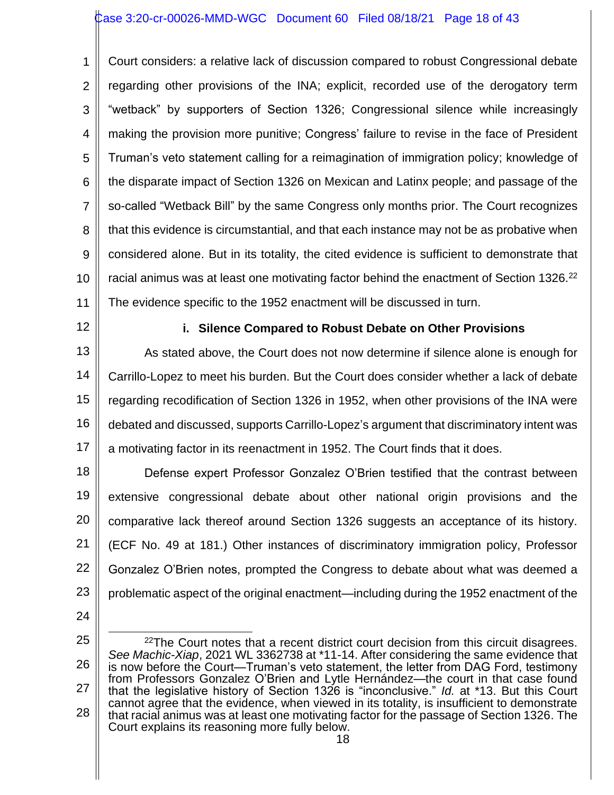# Case 3:20-cr-00026-MMD-WGC Document 60 Filed 08/18/21 Page 18 of 43

1 2 3 4 5 6 7 8 9 10 11 Court considers: a relative lack of discussion compared to robust Congressional debate regarding other provisions of the INA; explicit, recorded use of the derogatory term "wetback" by supporters of Section 1326; Congressional silence while increasingly making the provision more punitive; Congress' failure to revise in the face of President Truman's veto statement calling for a reimagination of immigration policy; knowledge of the disparate impact of Section 1326 on Mexican and Latinx people; and passage of the so-called "Wetback Bill" by the same Congress only months prior. The Court recognizes that this evidence is circumstantial, and that each instance may not be as probative when considered alone. But in its totality, the cited evidence is sufficient to demonstrate that racial animus was at least one motivating factor behind the enactment of Section 1326.<sup>22</sup> The evidence specific to the 1952 enactment will be discussed in turn.

12

## **i. Silence Compared to Robust Debate on Other Provisions**

13 14 15 16 17 As stated above, the Court does not now determine if silence alone is enough for Carrillo-Lopez to meet his burden. But the Court does consider whether a lack of debate regarding recodification of Section 1326 in 1952, when other provisions of the INA were debated and discussed, supports Carrillo-Lopez's argument that discriminatory intent was a motivating factor in its reenactment in 1952. The Court finds that it does.

18 19 20 21 22 23 Defense expert Professor Gonzalez O'Brien testified that the contrast between extensive congressional debate about other national origin provisions and the comparative lack thereof around Section 1326 suggests an acceptance of its history. (ECF No. 49 at 181.) Other instances of discriminatory immigration policy, Professor Gonzalez O'Brien notes, prompted the Congress to debate about what was deemed a problematic aspect of the original enactment—including during the 1952 enactment of the

- 24
- 25

<sup>26</sup> 27 28  $22$ The Court notes that a recent district court decision from this circuit disagrees. *See Machic-Xiap*, 2021 WL 3362738 at \*11-14. After considering the same evidence that is now before the Court—Truman's veto statement, the letter from DAG Ford, testimony from Professors Gonzalez O'Brien and Lytle Hernández—the court in that case found that the legislative history of Section 1326 is "inconclusive." *Id.* at \*13. But this Court cannot agree that the evidence, when viewed in its totality, is insufficient to demonstrate that racial animus was at least one motivating factor for the passage of Section 1326. The Court explains its reasoning more fully below.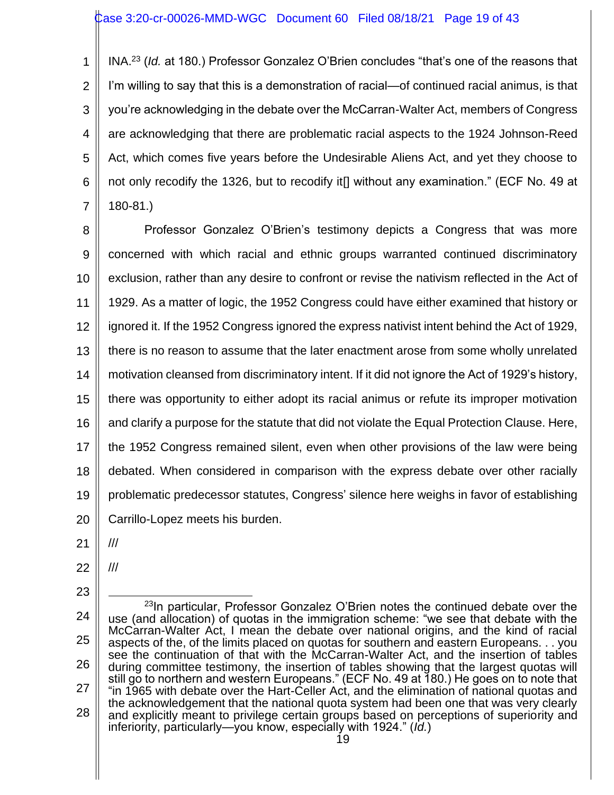1 2 3 4 5 6 7 INA. <sup>23</sup> (*Id.* at 180.) Professor Gonzalez O'Brien concludes "that's one of the reasons that I'm willing to say that this is a demonstration of racial—of continued racial animus, is that you're acknowledging in the debate over the McCarran-Walter Act, members of Congress are acknowledging that there are problematic racial aspects to the 1924 Johnson-Reed Act, which comes five years before the Undesirable Aliens Act, and yet they choose to not only recodify the 1326, but to recodify it[] without any examination." (ECF No. 49 at 180-81.)

8 9 10 11 12 13 14 15 16 17 18 19 20 Professor Gonzalez O'Brien's testimony depicts a Congress that was more concerned with which racial and ethnic groups warranted continued discriminatory exclusion, rather than any desire to confront or revise the nativism reflected in the Act of 1929. As a matter of logic, the 1952 Congress could have either examined that history or ignored it. If the 1952 Congress ignored the express nativist intent behind the Act of 1929, there is no reason to assume that the later enactment arose from some wholly unrelated motivation cleansed from discriminatory intent. If it did not ignore the Act of 1929's history, there was opportunity to either adopt its racial animus or refute its improper motivation and clarify a purpose for the statute that did not violate the Equal Protection Clause. Here, the 1952 Congress remained silent, even when other provisions of the law were being debated. When considered in comparison with the express debate over other racially problematic predecessor statutes, Congress' silence here weighs in favor of establishing Carrillo-Lopez meets his burden.

- 21 ///
- 22 ///
- 23

<sup>24</sup> 25 26 27 28 <sup>23</sup>In particular, Professor Gonzalez O'Brien notes the continued debate over the use (and allocation) of quotas in the immigration scheme: "we see that debate with the McCarran-Walter Act, I mean the debate over national origins, and the kind of racial aspects of the, of the limits placed on quotas for southern and eastern Europeans. . . you see the continuation of that with the McCarran-Walter Act, and the insertion of tables during committee testimony, the insertion of tables showing that the largest quotas will still go to northern and western Europeans." (ECF No. 49 at 180.) He goes on to note that "in 1965 with debate over the Hart-Celler Act, and the elimination of national quotas and the acknowledgement that the national quota system had been one that was very clearly and explicitly meant to privilege certain groups based on perceptions of superiority and inferiority, particularly—you know, especially with 1924." (*Id.*)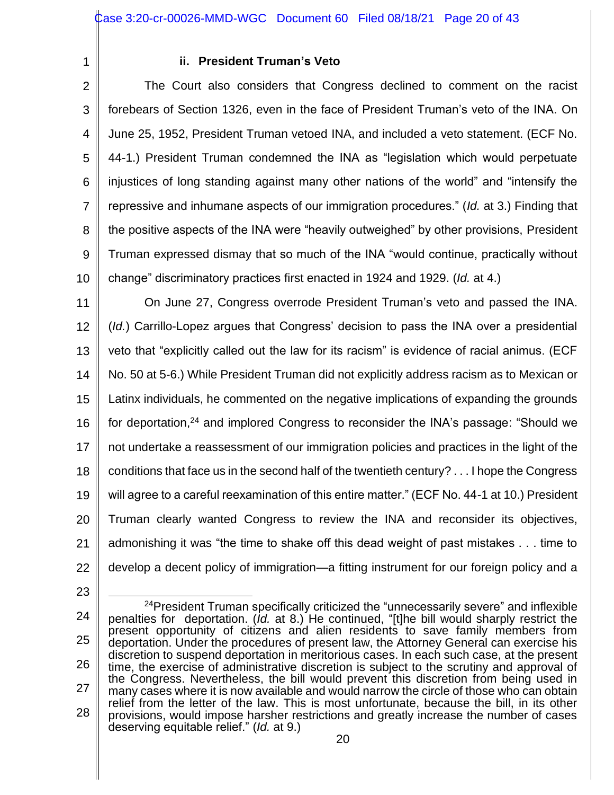1

# **ii. President Truman's Veto**

2 3 4 5 6 7 8 9 10 The Court also considers that Congress declined to comment on the racist forebears of Section 1326, even in the face of President Truman's veto of the INA. On June 25, 1952, President Truman vetoed INA, and included a veto statement. (ECF No. 44-1.) President Truman condemned the INA as "legislation which would perpetuate injustices of long standing against many other nations of the world" and "intensify the repressive and inhumane aspects of our immigration procedures." (*Id.* at 3.) Finding that the positive aspects of the INA were "heavily outweighed" by other provisions, President Truman expressed dismay that so much of the INA "would continue, practically without change" discriminatory practices first enacted in 1924 and 1929. (*Id.* at 4.)

11 12 13 14 15 16 17 18 19 20 21 22 On June 27, Congress overrode President Truman's veto and passed the INA. (*Id.*) Carrillo-Lopez argues that Congress' decision to pass the INA over a presidential veto that "explicitly called out the law for its racism" is evidence of racial animus. (ECF No. 50 at 5-6.) While President Truman did not explicitly address racism as to Mexican or Latinx individuals, he commented on the negative implications of expanding the grounds for deportation,<sup>24</sup> and implored Congress to reconsider the INA's passage: "Should we not undertake a reassessment of our immigration policies and practices in the light of the conditions that face us in the second half of the twentieth century? . . . I hope the Congress will agree to a careful reexamination of this entire matter." (ECF No. 44-1 at 10.) President Truman clearly wanted Congress to review the INA and reconsider its objectives, admonishing it was "the time to shake off this dead weight of past mistakes . . . time to develop a decent policy of immigration—a fitting instrument for our foreign policy and a

<sup>23</sup>

<sup>24</sup> 25 26 27 28 <sup>24</sup>President Truman specifically criticized the "unnecessarily severe" and inflexible penalties for deportation. (*Id.* at 8.) He continued, "[t]he bill would sharply restrict the present opportunity of citizens and alien residents to save family members from deportation. Under the procedures of present law, the Attorney General can exercise his discretion to suspend deportation in meritorious cases. In each such case, at the present time, the exercise of administrative discretion is subject to the scrutiny and approval of the Congress. Nevertheless, the bill would prevent this discretion from being used in many cases where it is now available and would narrow the circle of those who can obtain relief from the letter of the law. This is most unfortunate, because the bill, in its other provisions, would impose harsher restrictions and greatly increase the number of cases deserving equitable relief." (*Id.* at 9.)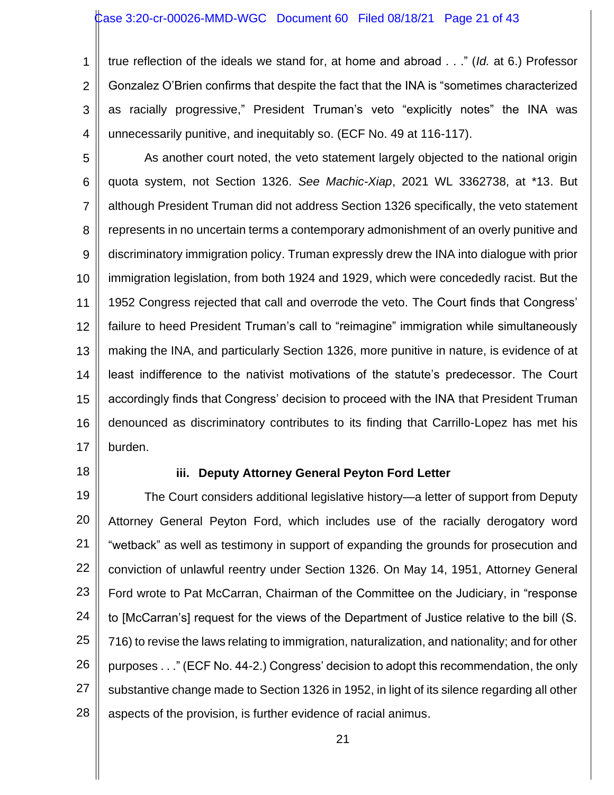#### Case 3:20-cr-00026-MMD-WGC Document 60 Filed 08/18/21 Page 21 of 43

1 2 3 4 true reflection of the ideals we stand for, at home and abroad . . ." (*Id.* at 6.) Professor Gonzalez O'Brien confirms that despite the fact that the INA is "sometimes characterized as racially progressive," President Truman's veto "explicitly notes" the INA was unnecessarily punitive, and inequitably so. (ECF No. 49 at 116-117).

5 6 7 8 9 10 11 12 13 14 15 16 17 As another court noted, the veto statement largely objected to the national origin quota system, not Section 1326. *See Machic-Xiap*, 2021 WL 3362738, at \*13. But although President Truman did not address Section 1326 specifically, the veto statement represents in no uncertain terms a contemporary admonishment of an overly punitive and discriminatory immigration policy. Truman expressly drew the INA into dialogue with prior immigration legislation, from both 1924 and 1929, which were concededly racist. But the 1952 Congress rejected that call and overrode the veto. The Court finds that Congress' failure to heed President Truman's call to "reimagine" immigration while simultaneously making the INA, and particularly Section 1326, more punitive in nature, is evidence of at least indifference to the nativist motivations of the statute's predecessor. The Court accordingly finds that Congress' decision to proceed with the INA that President Truman denounced as discriminatory contributes to its finding that Carrillo-Lopez has met his burden.

18

#### **iii. Deputy Attorney General Peyton Ford Letter**

19 20 21 22 23 24 25 26 27 28 The Court considers additional legislative history—a letter of support from Deputy Attorney General Peyton Ford, which includes use of the racially derogatory word "wetback" as well as testimony in support of expanding the grounds for prosecution and conviction of unlawful reentry under Section 1326. On May 14, 1951, Attorney General Ford wrote to Pat McCarran, Chairman of the Committee on the Judiciary, in "response to [McCarran's] request for the views of the Department of Justice relative to the bill (S. 716) to revise the laws relating to immigration, naturalization, and nationality; and for other purposes . . ." (ECF No. 44-2.) Congress' decision to adopt this recommendation, the only substantive change made to Section 1326 in 1952, in light of its silence regarding all other aspects of the provision, is further evidence of racial animus.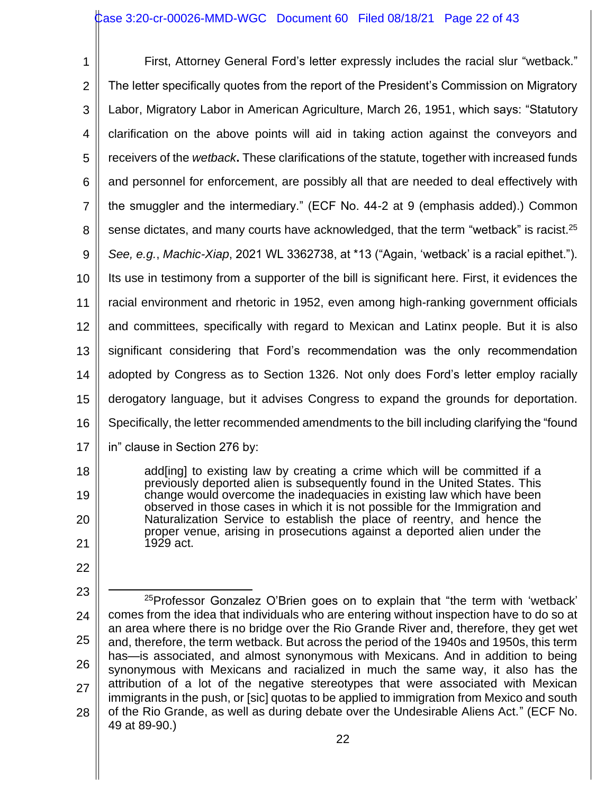1 2 3 4 5 6 7 8 9 10 11 12 13 14 15 16 17 First, Attorney General Ford's letter expressly includes the racial slur "wetback." The letter specifically quotes from the report of the President's Commission on Migratory Labor, Migratory Labor in American Agriculture, March 26, 1951, which says: "Statutory clarification on the above points will aid in taking action against the conveyors and receivers of the *wetback***.** These clarifications of the statute, together with increased funds and personnel for enforcement, are possibly all that are needed to deal effectively with the smuggler and the intermediary." (ECF No. 44-2 at 9 (emphasis added).) Common sense dictates, and many courts have acknowledged, that the term "wetback" is racist.<sup>25</sup> *See, e.g.*, *Machic-Xiap*, 2021 WL 3362738, at \*13 ("Again, 'wetback' is a racial epithet."). Its use in testimony from a supporter of the bill is significant here. First, it evidences the racial environment and rhetoric in 1952, even among high-ranking government officials and committees, specifically with regard to Mexican and Latinx people. But it is also significant considering that Ford's recommendation was the only recommendation adopted by Congress as to Section 1326. Not only does Ford's letter employ racially derogatory language, but it advises Congress to expand the grounds for deportation. Specifically, the letter recommended amendments to the bill including clarifying the "found in" clause in Section 276 by:

18 19 20 21 add[ing] to existing law by creating a crime which will be committed if a previously deported alien is subsequently found in the United States. This change would overcome the inadequacies in existing law which have been observed in those cases in which it is not possible for the Immigration and Naturalization Service to establish the place of reentry, and hence the proper venue, arising in prosecutions against a deported alien under the 1929 act.

22

23 24 25 26 27 28  $25$ Professor Gonzalez O'Brien goes on to explain that "the term with 'wetback' comes from the idea that individuals who are entering without inspection have to do so at an area where there is no bridge over the Rio Grande River and, therefore, they get wet and, therefore, the term wetback. But across the period of the 1940s and 1950s, this term has—is associated, and almost synonymous with Mexicans. And in addition to being synonymous with Mexicans and racialized in much the same way, it also has the attribution of a lot of the negative stereotypes that were associated with Mexican immigrants in the push, or [sic] quotas to be applied to immigration from Mexico and south of the Rio Grande, as well as during debate over the Undesirable Aliens Act." (ECF No. 49 at 89-90.)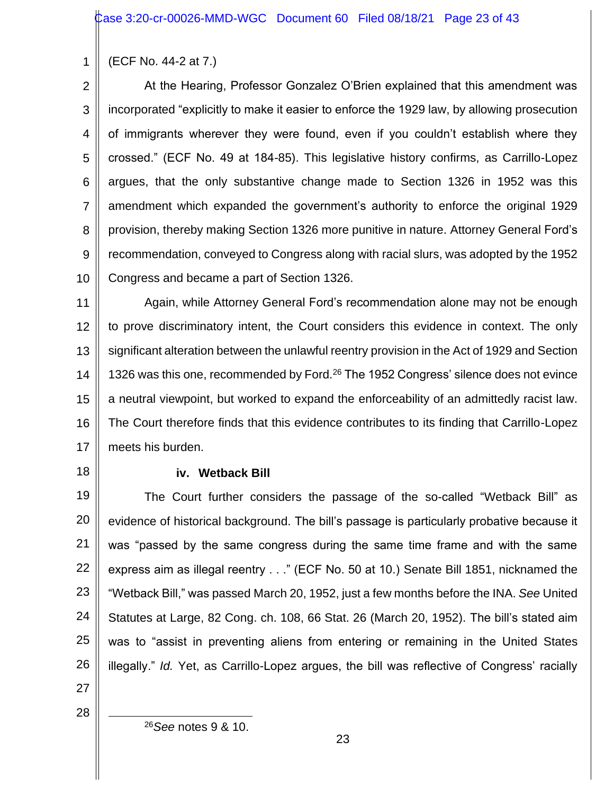(ECF No. 44-2 at 7.)

1

2 3 4 5 6 7 8 9 10 At the Hearing, Professor Gonzalez O'Brien explained that this amendment was incorporated "explicitly to make it easier to enforce the 1929 law, by allowing prosecution of immigrants wherever they were found, even if you couldn't establish where they crossed." (ECF No. 49 at 184-85). This legislative history confirms, as Carrillo-Lopez argues, that the only substantive change made to Section 1326 in 1952 was this amendment which expanded the government's authority to enforce the original 1929 provision, thereby making Section 1326 more punitive in nature. Attorney General Ford's recommendation, conveyed to Congress along with racial slurs, was adopted by the 1952 Congress and became a part of Section 1326.

11 12 13 14 15 16 17 Again, while Attorney General Ford's recommendation alone may not be enough to prove discriminatory intent, the Court considers this evidence in context. The only significant alteration between the unlawful reentry provision in the Act of 1929 and Section 1326 was this one, recommended by Ford.<sup>26</sup> The 1952 Congress' silence does not evince a neutral viewpoint, but worked to expand the enforceability of an admittedly racist law. The Court therefore finds that this evidence contributes to its finding that Carrillo-Lopez meets his burden.

18

# **iv. Wetback Bill**

19 20 21 22 23 24 25 26 The Court further considers the passage of the so-called "Wetback Bill" as evidence of historical background. The bill's passage is particularly probative because it was "passed by the same congress during the same time frame and with the same express aim as illegal reentry . . ." (ECF No. 50 at 10.) Senate Bill 1851, nicknamed the "Wetback Bill," was passed March 20, 1952, just a few months before the INA. *See* United Statutes at Large, 82 Cong. ch. 108, 66 Stat. 26 (March 20, 1952). The bill's stated aim was to "assist in preventing aliens from entering or remaining in the United States illegally." *Id.* Yet, as Carrillo-Lopez argues, the bill was reflective of Congress' racially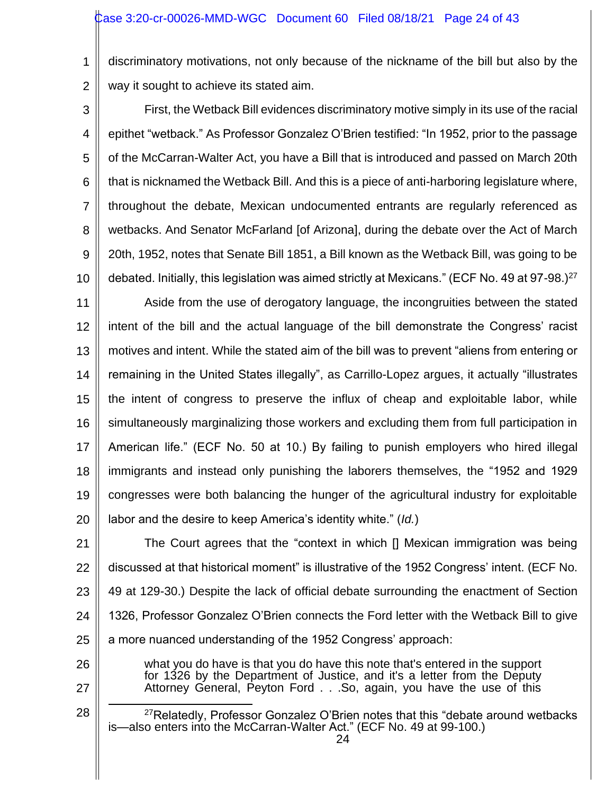2 discriminatory motivations, not only because of the nickname of the bill but also by the way it sought to achieve its stated aim.

3

1

4 5 6 7 8 9 10 First, the Wetback Bill evidences discriminatory motive simply in its use of the racial epithet "wetback." As Professor Gonzalez O'Brien testified: "In 1952, prior to the passage of the McCarran-Walter Act, you have a Bill that is introduced and passed on March 20th that is nicknamed the Wetback Bill. And this is a piece of anti-harboring legislature where, throughout the debate, Mexican undocumented entrants are regularly referenced as wetbacks. And Senator McFarland [of Arizona], during the debate over the Act of March 20th, 1952, notes that Senate Bill 1851, a Bill known as the Wetback Bill, was going to be debated. Initially, this legislation was aimed strictly at Mexicans." (ECF No. 49 at 97-98.)<sup>27</sup>

11 12 13 14 15 16 17 18 19 20 Aside from the use of derogatory language, the incongruities between the stated intent of the bill and the actual language of the bill demonstrate the Congress' racist motives and intent. While the stated aim of the bill was to prevent "aliens from entering or remaining in the United States illegally", as Carrillo-Lopez argues, it actually "illustrates the intent of congress to preserve the influx of cheap and exploitable labor, while simultaneously marginalizing those workers and excluding them from full participation in American life." (ECF No. 50 at 10.) By failing to punish employers who hired illegal immigrants and instead only punishing the laborers themselves, the "1952 and 1929 congresses were both balancing the hunger of the agricultural industry for exploitable labor and the desire to keep America's identity white." (*Id.*)

21 22 23 24 25 The Court agrees that the "context in which [] Mexican immigration was being discussed at that historical moment" is illustrative of the 1952 Congress' intent. (ECF No. 49 at 129-30.) Despite the lack of official debate surrounding the enactment of Section 1326, Professor Gonzalez O'Brien connects the Ford letter with the Wetback Bill to give a more nuanced understanding of the 1952 Congress' approach:

26 27 what you do have is that you do have this note that's entered in the support for 1326 by the Department of Justice, and it's a letter from the Deputy Attorney General, Peyton Ford . . .So, again, you have the use of this

28  $27$ Relatedly, Professor Gonzalez O'Brien notes that this "debate around wetbacks is—also enters into the McCarran-Walter Act." (ECF No. 49 at 99-100.)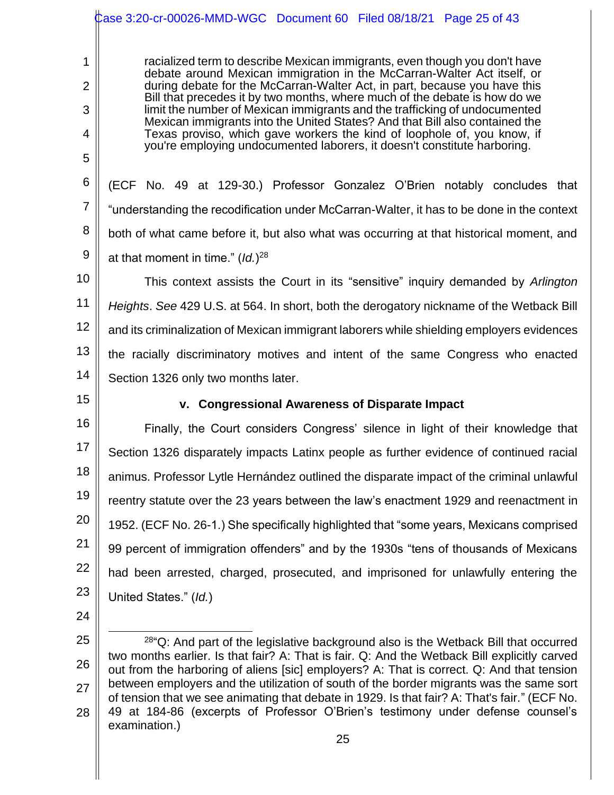|                     | Case 3:20-cr-00026-MMD-WGC Document 60 Filed 08/18/21 Page 25 of 43                                                                                                                                                                                                                                         |
|---------------------|-------------------------------------------------------------------------------------------------------------------------------------------------------------------------------------------------------------------------------------------------------------------------------------------------------------|
| 1<br>$\overline{2}$ | racialized term to describe Mexican immigrants, even though you don't have<br>debate around Mexican immigration in the McCarran-Walter Act itself, or<br>during debate for the McCarran-Walter Act, in part, because you have this                                                                          |
| 3                   | Bill that precedes it by two months, where much of the debate is how do we<br>limit the number of Mexican immigrants and the trafficking of undocumented                                                                                                                                                    |
| 4                   | Mexican immigrants into the United States? And that Bill also contained the<br>Texas proviso, which gave workers the kind of loophole of, you know, if<br>you're employing undocumented laborers, it doesn't constitute harboring.                                                                          |
| 5                   |                                                                                                                                                                                                                                                                                                             |
| 6                   | (ECF No. 49 at 129-30.) Professor Gonzalez O'Brien notably concludes that                                                                                                                                                                                                                                   |
| $\overline{7}$      | "understanding the recodification under McCarran-Walter, it has to be done in the context                                                                                                                                                                                                                   |
| 8                   | both of what came before it, but also what was occurring at that historical moment, and                                                                                                                                                                                                                     |
| $9\,$               | at that moment in time." $(id.)^{28}$                                                                                                                                                                                                                                                                       |
| 10                  | This context assists the Court in its "sensitive" inquiry demanded by Arlington                                                                                                                                                                                                                             |
| 11                  | Heights. See 429 U.S. at 564. In short, both the derogatory nickname of the Wetback Bill                                                                                                                                                                                                                    |
| 12                  | and its criminalization of Mexican immigrant laborers while shielding employers evidences                                                                                                                                                                                                                   |
| 13                  | the racially discriminatory motives and intent of the same Congress who enacted                                                                                                                                                                                                                             |
| 14                  | Section 1326 only two months later.                                                                                                                                                                                                                                                                         |
| 15                  | v. Congressional Awareness of Disparate Impact                                                                                                                                                                                                                                                              |
| 16                  | Finally, the Court considers Congress' silence in light of their knowledge that                                                                                                                                                                                                                             |
| 17                  | Section 1326 disparately impacts Latinx people as further evidence of continued racial                                                                                                                                                                                                                      |
| 18                  | animus. Professor Lytle Hernández outlined the disparate impact of the criminal unlawful                                                                                                                                                                                                                    |
| 19                  | reentry statute over the 23 years between the law's enactment 1929 and reenactment in                                                                                                                                                                                                                       |
| 20                  | 1952. (ECF No. 26-1.) She specifically highlighted that "some years, Mexicans comprised                                                                                                                                                                                                                     |
| 21                  | 99 percent of immigration offenders" and by the 1930s "tens of thousands of Mexicans                                                                                                                                                                                                                        |
| 22                  | had been arrested, charged, prosecuted, and imprisoned for unlawfully entering the                                                                                                                                                                                                                          |
| 23                  | United States." (Id.)                                                                                                                                                                                                                                                                                       |
| 24                  |                                                                                                                                                                                                                                                                                                             |
| 25<br>26            | <sup>28</sup> "Q: And part of the legislative background also is the Wetback Bill that occurred<br>two months earlier. Is that fair? A: That is fair. Q: And the Wetback Bill explicitly carved<br>If from the berbering of olione [eig] employere? $\Lambda$ . That is correct $\Omega$ : And that tension |

<sup>26</sup> 27 28 out from the harboring of aliens [sic] employers? A: That is correct. Q: And that tension between employers and the utilization of south of the border migrants was the same sort of tension that we see animating that debate in 1929. Is that fair? A: That's fair." (ECF No. 49 at 184-86 (excerpts of Professor O'Brien's testimony under defense counsel's examination.)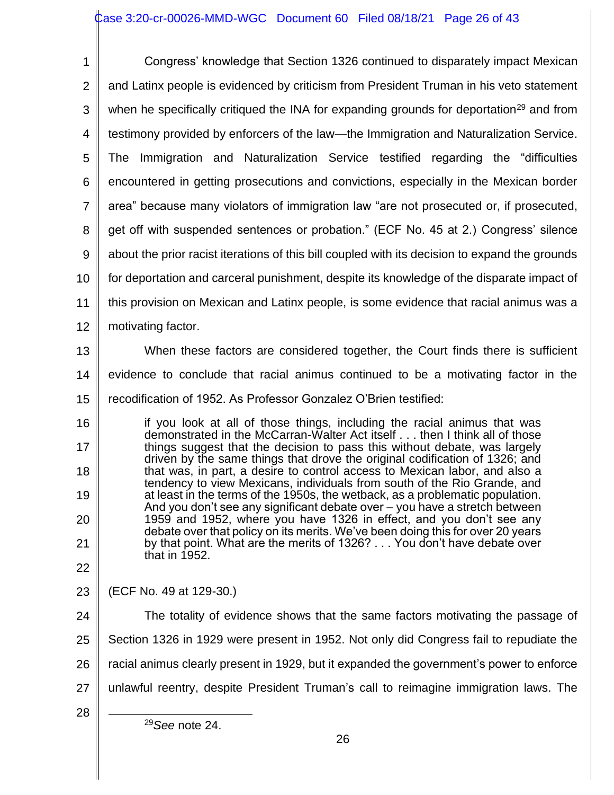$\parallel$ 

| 1              | Congress' knowledge that Section 1326 continued to disparately impact Mexican                                                                               |
|----------------|-------------------------------------------------------------------------------------------------------------------------------------------------------------|
| $\overline{2}$ | and Latinx people is evidenced by criticism from President Truman in his veto statement                                                                     |
| 3              | when he specifically critiqued the INA for expanding grounds for deportation <sup>29</sup> and from                                                         |
| 4              | testimony provided by enforcers of the law—the Immigration and Naturalization Service.                                                                      |
| 5              | The Immigration and Naturalization Service testified regarding the "difficulties"                                                                           |
| 6              | encountered in getting prosecutions and convictions, especially in the Mexican border                                                                       |
| 7              | area" because many violators of immigration law "are not prosecuted or, if prosecuted,                                                                      |
| 8              | get off with suspended sentences or probation." (ECF No. 45 at 2.) Congress' silence                                                                        |
| 9              | about the prior racist iterations of this bill coupled with its decision to expand the grounds                                                              |
| 10             | for deportation and carceral punishment, despite its knowledge of the disparate impact of                                                                   |
| 11             | this provision on Mexican and Latinx people, is some evidence that racial animus was a                                                                      |
| 12             | motivating factor.                                                                                                                                          |
| 13             | When these factors are considered together, the Court finds there is sufficient                                                                             |
| 14             | evidence to conclude that racial animus continued to be a motivating factor in the                                                                          |
| 15             | recodification of 1952. As Professor Gonzalez O'Brien testified:                                                                                            |
| 16             | if you look at all of those things, including the racial animus that was<br>demonstrated in the McCarran-Walter Act itself then I think all of those        |
| 17             | things suggest that the decision to pass this without debate, was largely<br>driven by the same things that drove the original codification of 1326; and    |
| 18             | that was, in part, a desire to control access to Mexican labor, and also a<br>tendency to view Mexicans, individuals from south of the Rio Grande, and      |
| 19             | at least in the terms of the 1950s, the wetback, as a problematic population.<br>And you don't see any significant debate over – you have a stretch between |
| 20             | 1959 and 1952, where you have 1326 in effect, and you don't see any<br>debate over that policy on its merits. We've been doing this for over 20 years       |
| 21             | by that point. What are the merits of 1326? You don't have debate over<br>that in 1952.                                                                     |
| 22             |                                                                                                                                                             |
| 23             | (ECF No. 49 at 129-30.)                                                                                                                                     |
| 24             | The totality of evidence shows that the same factors motivating the passage of                                                                              |
| 25             | Section 1326 in 1929 were present in 1952. Not only did Congress fail to repudiate the                                                                      |
| 26             | racial animus clearly present in 1929, but it expanded the government's power to enforce                                                                    |
| 27             | unlawful reentry, despite President Truman's call to reimagine immigration laws. The                                                                        |
| 28             | <sup>29</sup> See note 24.                                                                                                                                  |
|                | 26                                                                                                                                                          |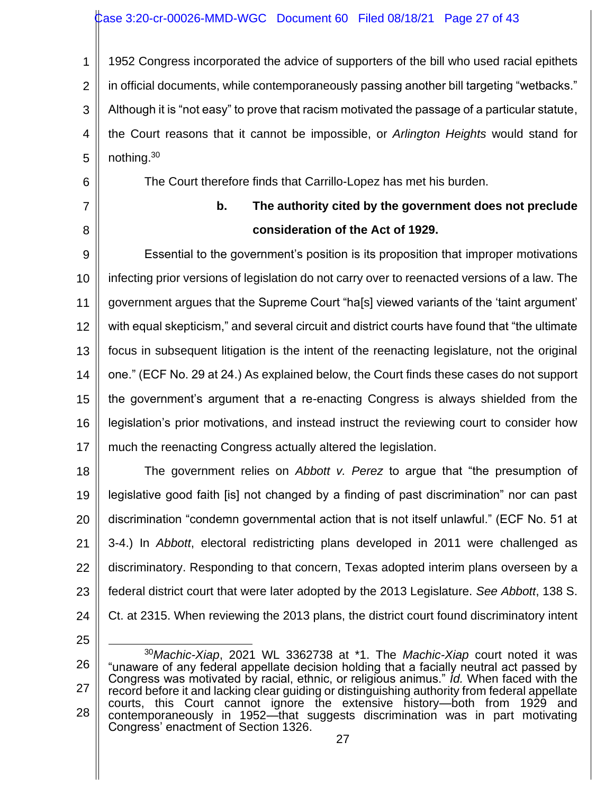1 2 3 4 5 1952 Congress incorporated the advice of supporters of the bill who used racial epithets in official documents, while contemporaneously passing another bill targeting "wetbacks." Although it is "not easy" to prove that racism motivated the passage of a particular statute, the Court reasons that it cannot be impossible, or *Arlington Heights* would stand for nothing. 30

The Court therefore finds that Carrillo-Lopez has met his burden.

# 7

8

6

# **b. The authority cited by the government does not preclude consideration of the Act of 1929.**

9 10 11 12 13 14 15 16 17 Essential to the government's position is its proposition that improper motivations infecting prior versions of legislation do not carry over to reenacted versions of a law. The government argues that the Supreme Court "ha[s] viewed variants of the 'taint argument' with equal skepticism," and several circuit and district courts have found that "the ultimate focus in subsequent litigation is the intent of the reenacting legislature, not the original one." (ECF No. 29 at 24.) As explained below, the Court finds these cases do not support the government's argument that a re-enacting Congress is always shielded from the legislation's prior motivations, and instead instruct the reviewing court to consider how much the reenacting Congress actually altered the legislation.

18 19 20 21 22 23 24 The government relies on *Abbott v. Perez* to argue that "the presumption of legislative good faith [is] not changed by a finding of past discrimination" nor can past discrimination "condemn governmental action that is not itself unlawful." (ECF No. 51 at 3-4.) In *Abbott*, electoral redistricting plans developed in 2011 were challenged as discriminatory. Responding to that concern, Texas adopted interim plans overseen by a federal district court that were later adopted by the 2013 Legislature. *See Abbott*, 138 S. Ct. at 2315. When reviewing the 2013 plans, the district court found discriminatory intent

<sup>26</sup> 27 28 <sup>30</sup>*Machic-Xiap*, 2021 WL 3362738 at \*1. The *Machic-Xiap* court noted it was "unaware of any federal appellate decision holding that a facially neutral act passed by Congress was motivated by racial, ethnic, or religious animus." *Id.* When faced with the record before it and lacking clear guiding or distinguishing authority from federal appellate courts, this Court cannot ignore the extensive history—both from 1929 and contemporaneously in 1952—that suggests discrimination was in part motivating Congress' enactment of Section 1326.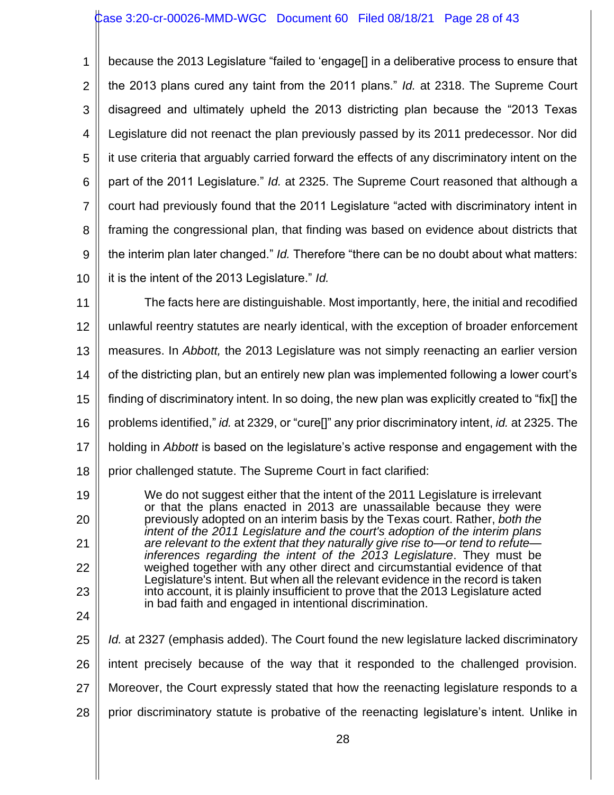1 2 3 4 5 6 7 8 9 10 because the 2013 Legislature "failed to 'engage[] in a deliberative process to ensure that the 2013 plans cured any taint from the 2011 plans." *Id.* at 2318. The Supreme Court disagreed and ultimately upheld the 2013 districting plan because the "2013 Texas Legislature did not reenact the plan previously passed by its 2011 predecessor. Nor did it use criteria that arguably carried forward the effects of any discriminatory intent on the part of the 2011 Legislature." *Id.* at 2325. The Supreme Court reasoned that although a court had previously found that the 2011 Legislature "acted with discriminatory intent in framing the congressional plan, that finding was based on evidence about districts that the interim plan later changed." *Id.* Therefore "there can be no doubt about what matters: it is the intent of the 2013 Legislature." *Id.*

11 12 13 14 15 16 17 18 The facts here are distinguishable. Most importantly, here, the initial and recodified unlawful reentry statutes are nearly identical, with the exception of broader enforcement measures. In *Abbott,* the 2013 Legislature was not simply reenacting an earlier version of the districting plan, but an entirely new plan was implemented following a lower court's finding of discriminatory intent. In so doing, the new plan was explicitly created to "fix[] the problems identified," *id.* at 2329, or "cure[]" any prior discriminatory intent, *id.* at 2325. The holding in *Abbott* is based on the legislature's active response and engagement with the prior challenged statute. The Supreme Court in fact clarified:

19 20 21 22 23 We do not suggest either that the intent of the 2011 Legislature is irrelevant or that the plans enacted in 2013 are unassailable because they were previously adopted on an interim basis by the Texas court. Rather, *both the intent of the 2011 Legislature and the court's adoption of the interim plans are relevant to the extent that they naturally give rise to—or tend to refute inferences regarding the intent of the 2013 Legislature*. They must be weighed together with any other direct and circumstantial evidence of that Legislature's intent. But when all the relevant evidence in the record is taken into account, it is plainly insufficient to prove that the 2013 Legislature acted in bad faith and engaged in intentional discrimination.

24

25 26 27 28 *Id.* at 2327 (emphasis added). The Court found the new legislature lacked discriminatory intent precisely because of the way that it responded to the challenged provision. Moreover, the Court expressly stated that how the reenacting legislature responds to a prior discriminatory statute is probative of the reenacting legislature's intent. Unlike in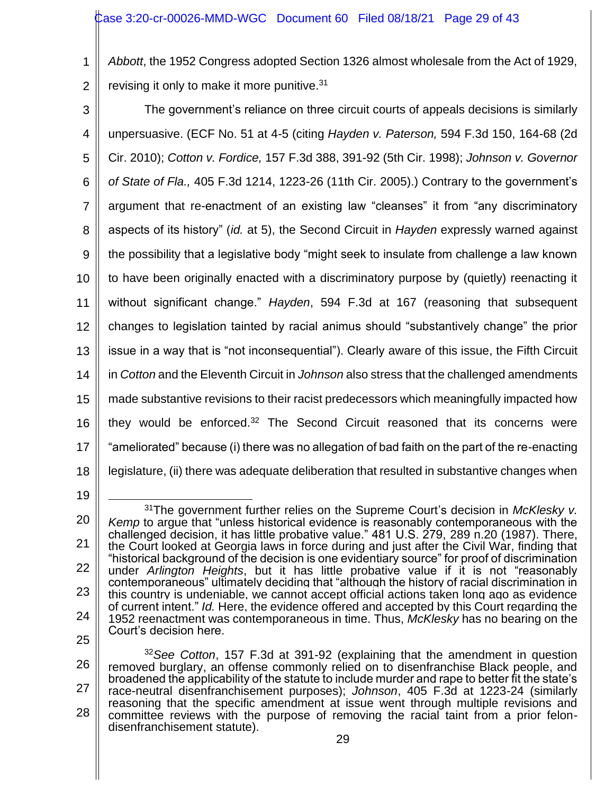1 2 *Abbott*, the 1952 Congress adopted Section 1326 almost wholesale from the Act of 1929, revising it only to make it more punitive.<sup>31</sup>

3 4 5 6 7 8 9 10 11 12 13 14 15 16 17 18 The government's reliance on three circuit courts of appeals decisions is similarly unpersuasive. (ECF No. 51 at 4-5 (citing *Hayden v. Paterson,* 594 F.3d 150, 164-68 (2d Cir. 2010); *Cotton v. Fordice,* 157 F.3d 388, 391-92 (5th Cir. 1998); *Johnson v. Governor of State of Fla.,* 405 F.3d 1214, 1223-26 (11th Cir. 2005).) Contrary to the government's argument that re-enactment of an existing law "cleanses" it from "any discriminatory aspects of its history" (*id.* at 5), the Second Circuit in *Hayden* expressly warned against the possibility that a legislative body "might seek to insulate from challenge a law known to have been originally enacted with a discriminatory purpose by (quietly) reenacting it without significant change." *Hayden*, 594 F.3d at 167 (reasoning that subsequent changes to legislation tainted by racial animus should "substantively change" the prior issue in a way that is "not inconsequential"). Clearly aware of this issue, the Fifth Circuit in *Cotton* and the Eleventh Circuit in *Johnson* also stress that the challenged amendments made substantive revisions to their racist predecessors which meaningfully impacted how they would be enforced.<sup>32</sup> The Second Circuit reasoned that its concerns were "ameliorated" because (i) there was no allegation of bad faith on the part of the re-enacting legislature, (ii) there was adequate deliberation that resulted in substantive changes when

19

<sup>20</sup> 21 22 23 24 <sup>31</sup>The government further relies on the Supreme Court's decision in *McKlesky v. Kemp* to argue that "unless historical evidence is reasonably contemporaneous with the challenged decision, it has little probative value." 481 U.S. 279, 289 n.20 (1987). There, the Court looked at Georgia laws in force during and just after the Civil War, finding that "historical background of the decision is one evidentiary source" for proof of discrimination under *Arlington Heights*, but it has little probative value if it is not "reasonably contemporaneous" ultimately deciding that "although the history of racial discrimination in this country is undeniable, we cannot accept official actions taken long ago as evidence of current intent." *Id.* Here, the evidence offered and accepted by this Court regarding the 1952 reenactment was contemporaneous in time. Thus, *McKlesky* has no bearing on the Court's decision here.

<sup>26</sup> 27 28 <sup>32</sup>*See Cotton*, 157 F.3d at 391-92 (explaining that the amendment in question removed burglary, an offense commonly relied on to disenfranchise Black people, and broadened the applicability of the statute to include murder and rape to better fit the state's race-neutral disenfranchisement purposes); *Johnson*, 405 F.3d at 1223-24 (similarly reasoning that the specific amendment at issue went through multiple revisions and committee reviews with the purpose of removing the racial taint from a prior felondisenfranchisement statute).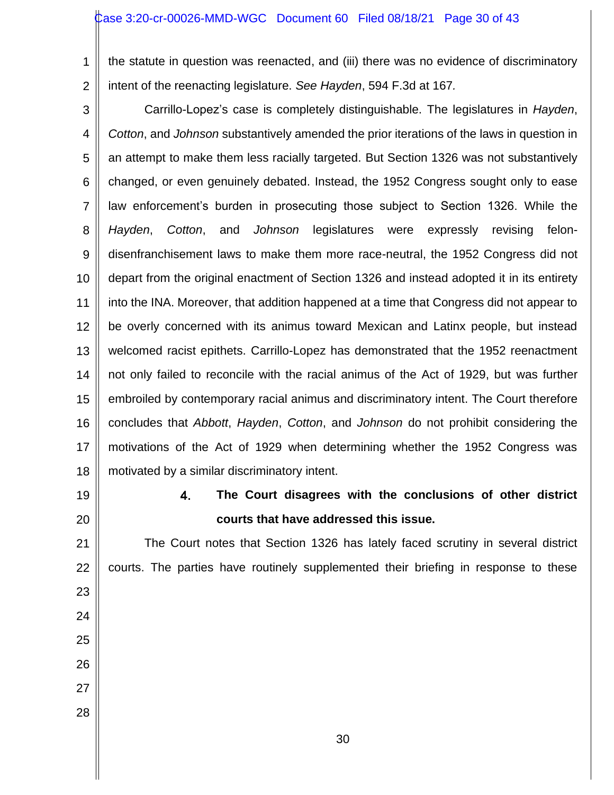1 2 the statute in question was reenacted, and (iii) there was no evidence of discriminatory intent of the reenacting legislature. *See Hayden*, 594 F.3d at 167*.*

3 4 5 6 7 8 9 10 11 12 13 14 15 16 17 18 Carrillo-Lopez's case is completely distinguishable. The legislatures in *Hayden*, *Cotton*, and *Johnson* substantively amended the prior iterations of the laws in question in an attempt to make them less racially targeted. But Section 1326 was not substantively changed, or even genuinely debated. Instead, the 1952 Congress sought only to ease law enforcement's burden in prosecuting those subject to Section 1326. While the *Hayden*, *Cotton*, and *Johnson* legislatures were expressly revising felondisenfranchisement laws to make them more race-neutral, the 1952 Congress did not depart from the original enactment of Section 1326 and instead adopted it in its entirety into the INA. Moreover, that addition happened at a time that Congress did not appear to be overly concerned with its animus toward Mexican and Latinx people, but instead welcomed racist epithets. Carrillo-Lopez has demonstrated that the 1952 reenactment not only failed to reconcile with the racial animus of the Act of 1929, but was further embroiled by contemporary racial animus and discriminatory intent. The Court therefore concludes that *Abbott*, *Hayden*, *Cotton*, and *Johnson* do not prohibit considering the motivations of the Act of 1929 when determining whether the 1952 Congress was motivated by a similar discriminatory intent.

19 20

#### **The Court disagrees with the conclusions of other district**  4. **courts that have addressed this issue.**

21 22 The Court notes that Section 1326 has lately faced scrutiny in several district courts. The parties have routinely supplemented their briefing in response to these

- 23 24
- 25
- 26
- 27
- 28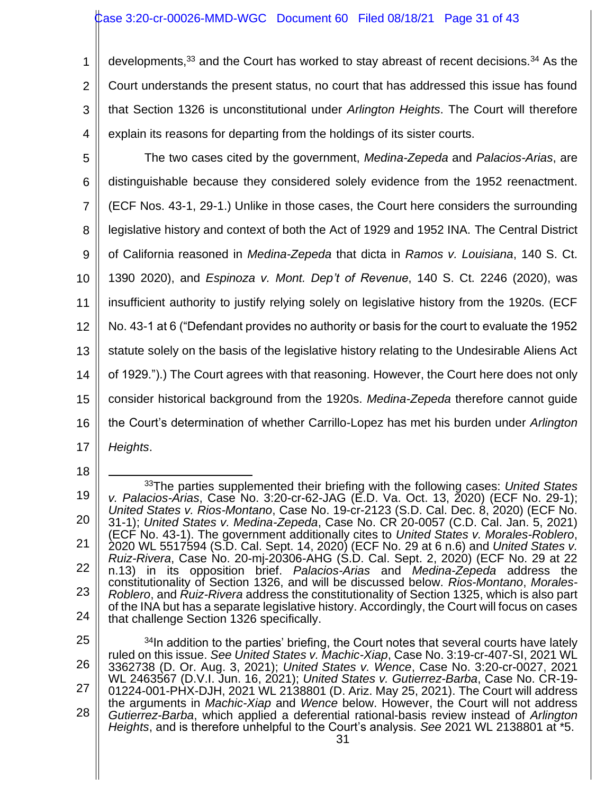1 2 3 4 developments,<sup>33</sup> and the Court has worked to stay abreast of recent decisions.<sup>34</sup> As the Court understands the present status, no court that has addressed this issue has found that Section 1326 is unconstitutional under *Arlington Heights*. The Court will therefore explain its reasons for departing from the holdings of its sister courts.

5 6 7 8 9 10 11 12 13 14 15 16 17 The two cases cited by the government, *Medina-Zepeda* and *Palacios-Arias*, are distinguishable because they considered solely evidence from the 1952 reenactment. (ECF Nos. 43-1, 29-1.) Unlike in those cases, the Court here considers the surrounding legislative history and context of both the Act of 1929 and 1952 INA. The Central District of California reasoned in *Medina-Zepeda* that dicta in *Ramos v. Louisiana*, 140 S. Ct. 1390 2020), and *Espinoza v. Mont. Dep't of Revenue*, 140 S. Ct. 2246 (2020), was insufficient authority to justify relying solely on legislative history from the 1920s. (ECF No. 43-1 at 6 ("Defendant provides no authority or basis for the court to evaluate the 1952 statute solely on the basis of the legislative history relating to the Undesirable Aliens Act of 1929.").) The Court agrees with that reasoning. However, the Court here does not only consider historical background from the 1920s. *Medina-Zepeda* therefore cannot guide the Court's determination of whether Carrillo-Lopez has met his burden under *Arlington Heights*.

18

25 26 27 28  $34$ In addition to the parties' briefing, the Court notes that several courts have lately ruled on this issue. *See United States v. Machic-Xiap*, Case No. 3:19-cr-407-SI, 2021 WL 3362738 (D. Or. Aug. 3, 2021); *United States v. Wence*, Case No. 3:20-cr-0027, 2021 WL 2463567 (D.V.I. Jun. 16, 2021); *United States v. Gutierrez-Barba*, Case No. CR-19- 01224-001-PHX-DJH, 2021 WL 2138801 (D. Ariz. May 25, 2021). The Court will address the arguments in *Machic-Xiap* and *Wence* below. However, the Court will not address *Gutierrez-Barba*, which applied a deferential rational-basis review instead of *Arlington Heights*, and is therefore unhelpful to the Court's analysis. *See* 2021 WL 2138801 at \*5.

<sup>19</sup> 20 21 22 23 24 <sup>33</sup>The parties supplemented their briefing with the following cases: *United States v. Palacios-Arias*, Case No. 3:20-cr-62-JAG (E.D. Va. Oct. 13, 2020) (ECF No. 29-1); *United States v. Rios-Montano*, Case No. 19-cr-2123 (S.D. Cal. Dec. 8, 2020) (ECF No. 31-1); *United States v. Medina-Zepeda*, Case No. CR 20-0057 (C.D. Cal. Jan. 5, 2021) (ECF No. 43-1). The government additionally cites to *United States v. Morales-Roblero*, 2020 WL 5517594 (S.D. Cal. Sept. 14, 2020) (ECF No. 29 at 6 n.6) and *United States v. Ruiz-Rivera*, Case No. 20-mj-20306-AHG (S.D. Cal. Sept. 2, 2020) (ECF No. 29 at 22 n.13) in its opposition brief. *Palacios-Arias* and *Medina-Zepeda* address the constitutionality of Section 1326, and will be discussed below. *Rios-Montano*, *Morales-Roblero*, and *Ruiz-Rivera* address the constitutionality of Section 1325, which is also part of the INA but has a separate legislative history. Accordingly, the Court will focus on cases that challenge Section 1326 specifically.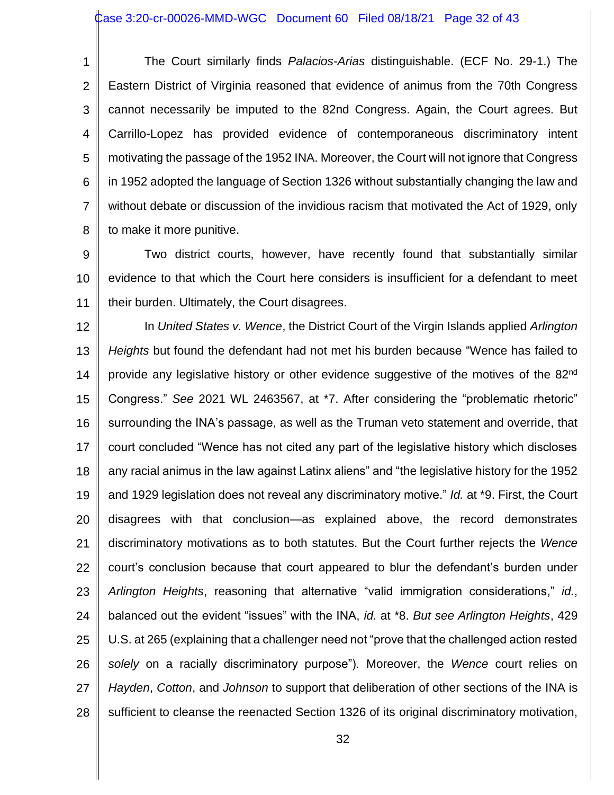1 2 3 4 5 6 7 8 The Court similarly finds *Palacios-Arias* distinguishable. (ECF No. 29-1.) The Eastern District of Virginia reasoned that evidence of animus from the 70th Congress cannot necessarily be imputed to the 82nd Congress. Again, the Court agrees. But Carrillo-Lopez has provided evidence of contemporaneous discriminatory intent motivating the passage of the 1952 INA. Moreover, the Court will not ignore that Congress in 1952 adopted the language of Section 1326 without substantially changing the law and without debate or discussion of the invidious racism that motivated the Act of 1929, only to make it more punitive.

9 10 11 Two district courts, however, have recently found that substantially similar evidence to that which the Court here considers is insufficient for a defendant to meet their burden. Ultimately, the Court disagrees.

12 13 14 15 16 17 18 19 20 21 22 23 24 25 26 27 28 In *United States v. Wence*, the District Court of the Virgin Islands applied *Arlington Heights* but found the defendant had not met his burden because "Wence has failed to provide any legislative history or other evidence suggestive of the motives of the 82<sup>nd</sup> Congress." *See* 2021 WL 2463567, at \*7. After considering the "problematic rhetoric" surrounding the INA's passage, as well as the Truman veto statement and override, that court concluded "Wence has not cited any part of the legislative history which discloses any racial animus in the law against Latinx aliens" and "the legislative history for the 1952 and 1929 legislation does not reveal any discriminatory motive." *Id.* at \*9. First, the Court disagrees with that conclusion—as explained above, the record demonstrates discriminatory motivations as to both statutes. But the Court further rejects the *Wence*  court's conclusion because that court appeared to blur the defendant's burden under *Arlington Heights*, reasoning that alternative "valid immigration considerations," *id.*, balanced out the evident "issues" with the INA, *id.* at \*8. *But see Arlington Heights*, 429 U.S. at 265 (explaining that a challenger need not "prove that the challenged action rested *solely* on a racially discriminatory purpose"). Moreover, the *Wence* court relies on *Hayden*, *Cotton*, and *Johnson* to support that deliberation of other sections of the INA is sufficient to cleanse the reenacted Section 1326 of its original discriminatory motivation,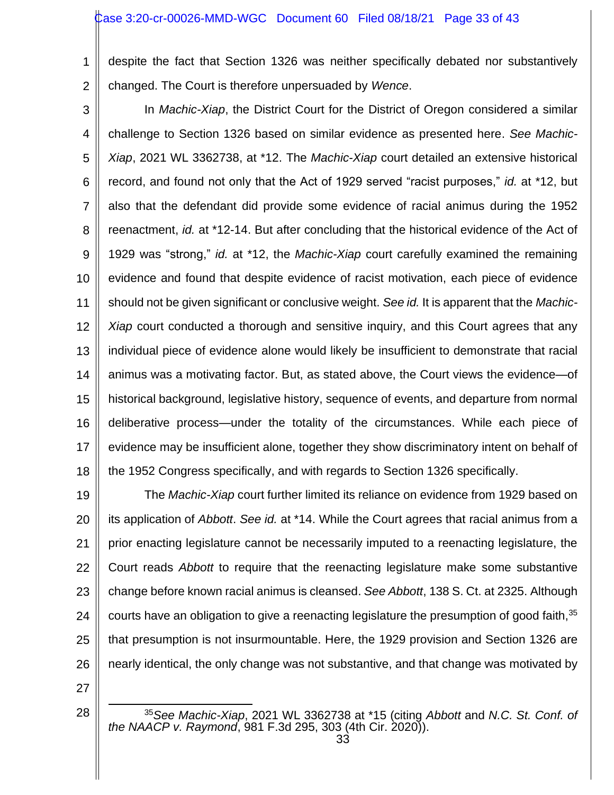1 2 despite the fact that Section 1326 was neither specifically debated nor substantively changed. The Court is therefore unpersuaded by *Wence*.

3 4 5 6 7 8 9 10 11 12 13 14 15 16 17 18 In *Machic-Xiap*, the District Court for the District of Oregon considered a similar challenge to Section 1326 based on similar evidence as presented here. *See Machic-Xiap*, 2021 WL 3362738, at \*12. The *Machic-Xiap* court detailed an extensive historical record, and found not only that the Act of 1929 served "racist purposes," *id.* at \*12, but also that the defendant did provide some evidence of racial animus during the 1952 reenactment, *id.* at \*12-14. But after concluding that the historical evidence of the Act of 1929 was "strong," *id.* at \*12, the *Machic-Xiap* court carefully examined the remaining evidence and found that despite evidence of racist motivation, each piece of evidence should not be given significant or conclusive weight. *See id.* It is apparent that the *Machic-Xiap* court conducted a thorough and sensitive inquiry, and this Court agrees that any individual piece of evidence alone would likely be insufficient to demonstrate that racial animus was a motivating factor. But, as stated above, the Court views the evidence—of historical background, legislative history, sequence of events, and departure from normal deliberative process—under the totality of the circumstances. While each piece of evidence may be insufficient alone, together they show discriminatory intent on behalf of the 1952 Congress specifically, and with regards to Section 1326 specifically.

19 20 21 22 23 24 25 26 The *Machic-Xiap* court further limited its reliance on evidence from 1929 based on its application of *Abbott*. *See id.* at \*14. While the Court agrees that racial animus from a prior enacting legislature cannot be necessarily imputed to a reenacting legislature, the Court reads *Abbott* to require that the reenacting legislature make some substantive change before known racial animus is cleansed. *See Abbott*, 138 S. Ct. at 2325. Although courts have an obligation to give a reenacting legislature the presumption of good faith,<sup>35</sup> that presumption is not insurmountable. Here, the 1929 provision and Section 1326 are nearly identical, the only change was not substantive, and that change was motivated by

27

<sup>35</sup>*See Machic-Xiap*, 2021 WL 3362738 at \*15 (citing *Abbott* and *N.C. St. Conf. of the NAACP v. Raymond*, 981 F.3d 295, 303 (4th Cir. 2020)).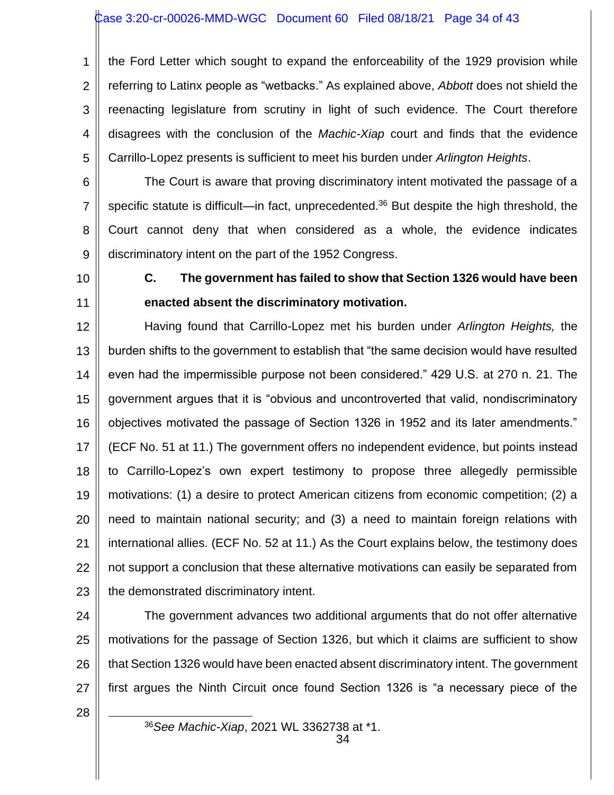1 2 3 4 5 the Ford Letter which sought to expand the enforceability of the 1929 provision while referring to Latinx people as "wetbacks." As explained above, *Abbott* does not shield the reenacting legislature from scrutiny in light of such evidence. The Court therefore disagrees with the conclusion of the *Machic-Xiap* court and finds that the evidence Carrillo-Lopez presents is sufficient to meet his burden under *Arlington Heights*.

6 7 8 9 The Court is aware that proving discriminatory intent motivated the passage of a specific statute is difficult—in fact, unprecedented.<sup>36</sup> But despite the high threshold, the Court cannot deny that when considered as a whole, the evidence indicates discriminatory intent on the part of the 1952 Congress.

- 10
- 11

# **C. The government has failed to show that Section 1326 would have been enacted absent the discriminatory motivation.**

12 13 14 15 16 17 18 19 20 21 22 23 Having found that Carrillo-Lopez met his burden under *Arlington Heights,* the burden shifts to the government to establish that "the same decision would have resulted even had the impermissible purpose not been considered." 429 U.S. at 270 n. 21. The government argues that it is "obvious and uncontroverted that valid, nondiscriminatory objectives motivated the passage of Section 1326 in 1952 and its later amendments." (ECF No. 51 at 11.) The government offers no independent evidence, but points instead to Carrillo-Lopez's own expert testimony to propose three allegedly permissible motivations: (1) a desire to protect American citizens from economic competition; (2) a need to maintain national security; and (3) a need to maintain foreign relations with international allies. (ECF No. 52 at 11.) As the Court explains below, the testimony does not support a conclusion that these alternative motivations can easily be separated from the demonstrated discriminatory intent.

24 25 26 27 The government advances two additional arguments that do not offer alternative motivations for the passage of Section 1326, but which it claims are sufficient to show that Section 1326 would have been enacted absent discriminatory intent. The government first argues the Ninth Circuit once found Section 1326 is "a necessary piece of the

28

<sup>36</sup>*See Machic-Xiap*, 2021 WL 3362738 at \*1.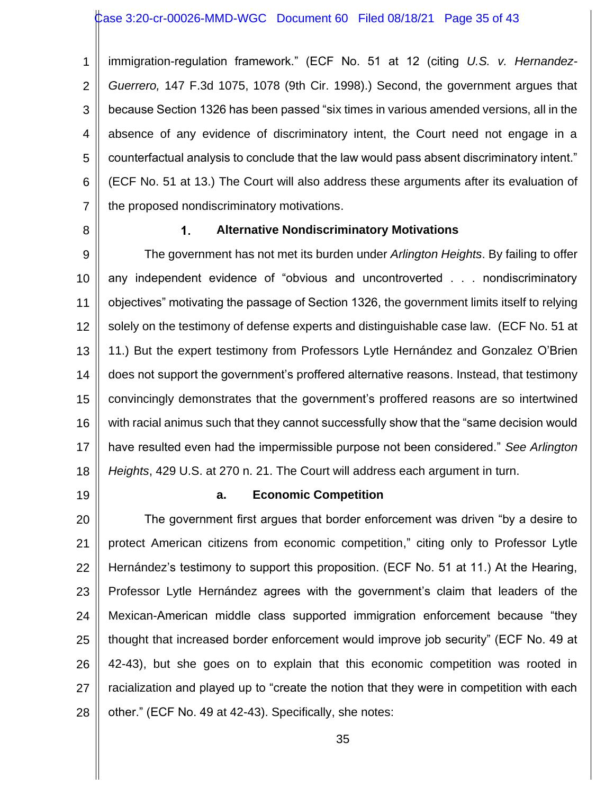1 2 3 4 5 6 7 immigration-regulation framework." (ECF No. 51 at 12 (citing *U.S. v. Hernandez-Guerrero,* 147 F.3d 1075, 1078 (9th Cir. 1998).) Second, the government argues that because Section 1326 has been passed "six times in various amended versions, all in the absence of any evidence of discriminatory intent, the Court need not engage in a counterfactual analysis to conclude that the law would pass absent discriminatory intent." (ECF No. 51 at 13.) The Court will also address these arguments after its evaluation of the proposed nondiscriminatory motivations.

8

#### $1.$ **Alternative Nondiscriminatory Motivations**

9 10 11 12 13 14 15 16 17 18 The government has not met its burden under *Arlington Heights*. By failing to offer any independent evidence of "obvious and uncontroverted . . . nondiscriminatory objectives" motivating the passage of Section 1326, the government limits itself to relying solely on the testimony of defense experts and distinguishable case law. (ECF No. 51 at 11.) But the expert testimony from Professors Lytle Hernández and Gonzalez O'Brien does not support the government's proffered alternative reasons. Instead, that testimony convincingly demonstrates that the government's proffered reasons are so intertwined with racial animus such that they cannot successfully show that the "same decision would have resulted even had the impermissible purpose not been considered." *See Arlington Heights*, 429 U.S. at 270 n. 21. The Court will address each argument in turn.

19

### **a. Economic Competition**

20 21 22 23 24 25 26 27 28 The government first argues that border enforcement was driven "by a desire to protect American citizens from economic competition," citing only to Professor Lytle Hernández's testimony to support this proposition. (ECF No. 51 at 11.) At the Hearing, Professor Lytle Hernández agrees with the government's claim that leaders of the Mexican-American middle class supported immigration enforcement because "they thought that increased border enforcement would improve job security" (ECF No. 49 at 42-43), but she goes on to explain that this economic competition was rooted in racialization and played up to "create the notion that they were in competition with each other." (ECF No. 49 at 42-43). Specifically, she notes: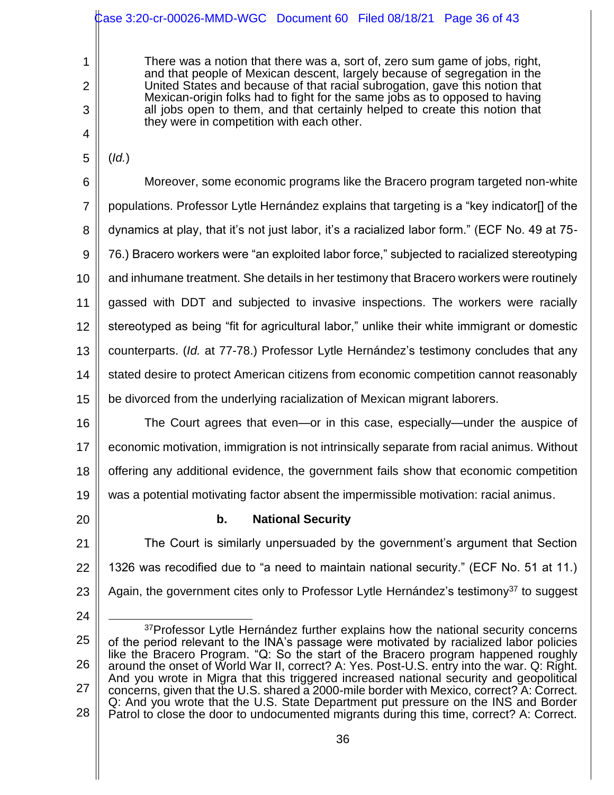There was a notion that there was a, sort of, zero sum game of jobs, right, and that people of Mexican descent, largely because of segregation in the United States and because of that racial subrogation, gave this notion that Mexican-origin folks had to fight for the same jobs as to opposed to having all jobs open to them, and that certainly helped to create this notion that they were in competition with each other.

(*Id.*)

1

2

3

4

5

6 7 8 9 10 11 12 13 14 15 Moreover, some economic programs like the Bracero program targeted non-white populations. Professor Lytle Hernández explains that targeting is a "key indicator[] of the dynamics at play, that it's not just labor, it's a racialized labor form." (ECF No. 49 at 75- 76.) Bracero workers were "an exploited labor force," subjected to racialized stereotyping and inhumane treatment. She details in her testimony that Bracero workers were routinely gassed with DDT and subjected to invasive inspections. The workers were racially stereotyped as being "fit for agricultural labor," unlike their white immigrant or domestic counterparts. (*Id.* at 77-78.) Professor Lytle Hernández's testimony concludes that any stated desire to protect American citizens from economic competition cannot reasonably be divorced from the underlying racialization of Mexican migrant laborers.

16 17 18 19 The Court agrees that even—or in this case, especially—under the auspice of economic motivation, immigration is not intrinsically separate from racial animus. Without offering any additional evidence, the government fails show that economic competition was a potential motivating factor absent the impermissible motivation: racial animus.

20

# **b. National Security**

21 22 23 The Court is similarly unpersuaded by the government's argument that Section 1326 was recodified due to "a need to maintain national security." (ECF No. 51 at 11.) Again, the government cites only to Professor Lytle Hernández's testimony<sup>37</sup> to suggest

<sup>25</sup> 26 27 28 <sup>37</sup>Professor Lytle Hernández further explains how the national security concerns of the period relevant to the INA's passage were motivated by racialized labor policies like the Bracero Program. "Q: So the start of the Bracero program happened roughly around the onset of World War II, correct? A: Yes. Post-U.S. entry into the war. Q: Right. And you wrote in Migra that this triggered increased national security and geopolitical concerns, given that the U.S. shared a 2000-mile border with Mexico, correct? A: Correct. Q: And you wrote that the U.S. State Department put pressure on the INS and Border Patrol to close the door to undocumented migrants during this time, correct? A: Correct.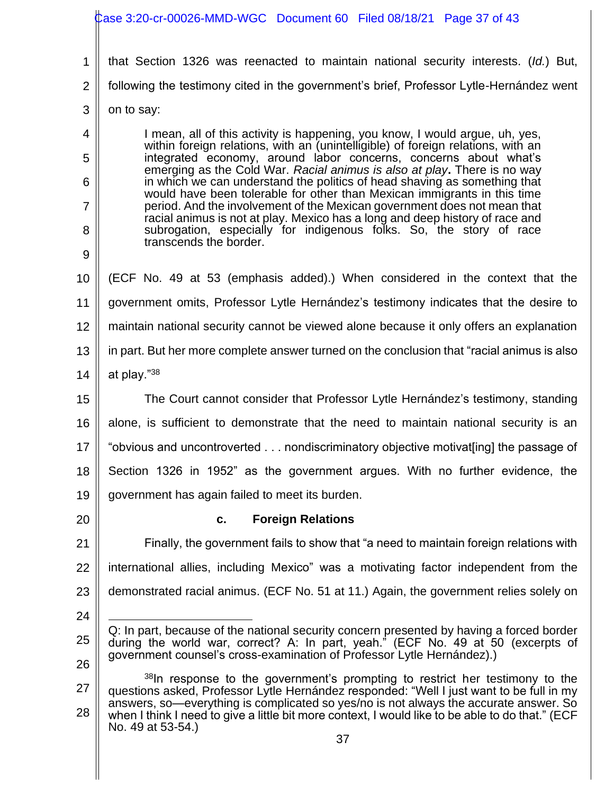|                | Case 3:20-cr-00026-MMD-WGC Document 60 Filed 08/18/21 Page 37 of 43                                                                                                                                                                                                                                                                                                               |
|----------------|-----------------------------------------------------------------------------------------------------------------------------------------------------------------------------------------------------------------------------------------------------------------------------------------------------------------------------------------------------------------------------------|
| $\mathbf 1$    | that Section 1326 was reenacted to maintain national security interests. (Id.) But,                                                                                                                                                                                                                                                                                               |
| $\overline{2}$ | following the testimony cited in the government's brief, Professor Lytle-Hernández went                                                                                                                                                                                                                                                                                           |
| 3              | on to say:                                                                                                                                                                                                                                                                                                                                                                        |
| 4              | I mean, all of this activity is happening, you know, I would argue, uh, yes,                                                                                                                                                                                                                                                                                                      |
| 5              | within foreign relations, with an (unintelligible) of foreign relations, with an<br>integrated economy, around labor concerns, concerns about what's                                                                                                                                                                                                                              |
| 6              | emerging as the Cold War. Racial animus is also at play. There is no way<br>in which we can understand the politics of head shaving as something that                                                                                                                                                                                                                             |
| $\overline{7}$ | would have been tolerable for other than Mexican immigrants in this time<br>period. And the involvement of the Mexican government does not mean that<br>racial animus is not at play. Mexico has a long and deep history of race and                                                                                                                                              |
| 8<br>9         | subrogation, especially for indigenous folks. So, the story of race<br>transcends the border.                                                                                                                                                                                                                                                                                     |
| 10             | (ECF No. 49 at 53 (emphasis added).) When considered in the context that the                                                                                                                                                                                                                                                                                                      |
| 11             | government omits, Professor Lytle Hernández's testimony indicates that the desire to                                                                                                                                                                                                                                                                                              |
| 12             | maintain national security cannot be viewed alone because it only offers an explanation                                                                                                                                                                                                                                                                                           |
| 13             | in part. But her more complete answer turned on the conclusion that "racial animus is also                                                                                                                                                                                                                                                                                        |
| 14             | at play."38                                                                                                                                                                                                                                                                                                                                                                       |
| 15             | The Court cannot consider that Professor Lytle Hernández's testimony, standing                                                                                                                                                                                                                                                                                                    |
| 16             | alone, is sufficient to demonstrate that the need to maintain national security is an                                                                                                                                                                                                                                                                                             |
| 17             | "obvious and uncontroverted nondiscriminatory objective motivat[ing] the passage of                                                                                                                                                                                                                                                                                               |
| 18             | Section 1326 in 1952" as the government argues. With no further evidence, the                                                                                                                                                                                                                                                                                                     |
| 19             | government has again failed to meet its burden.                                                                                                                                                                                                                                                                                                                                   |
| 20             | <b>Foreign Relations</b><br>c.                                                                                                                                                                                                                                                                                                                                                    |
| 21             | Finally, the government fails to show that "a need to maintain foreign relations with                                                                                                                                                                                                                                                                                             |
| 22             | international allies, including Mexico" was a motivating factor independent from the                                                                                                                                                                                                                                                                                              |
| 23             | demonstrated racial animus. (ECF No. 51 at 11.) Again, the government relies solely on                                                                                                                                                                                                                                                                                            |
| 24             |                                                                                                                                                                                                                                                                                                                                                                                   |
| 25             | Q: In part, because of the national security concern presented by having a forced border<br>during the world war, correct? A: In part, yeah." (ECF No. 49 at 50 (excerpts of<br>government counsel's cross-examination of Professor Lytle Hernández).)                                                                                                                            |
| 26<br>27<br>28 | <sup>38</sup> In response to the government's prompting to restrict her testimony to the<br>questions asked, Professor Lytle Hernández responded: "Well I just want to be full in my<br>answers, so—everything is complicated so yes/no is not always the accurate answer. So<br>when I think I need to give a little bit more context, I would like to be able to do that." (ECF |
|                | No. 49 at 53-54.)<br>37                                                                                                                                                                                                                                                                                                                                                           |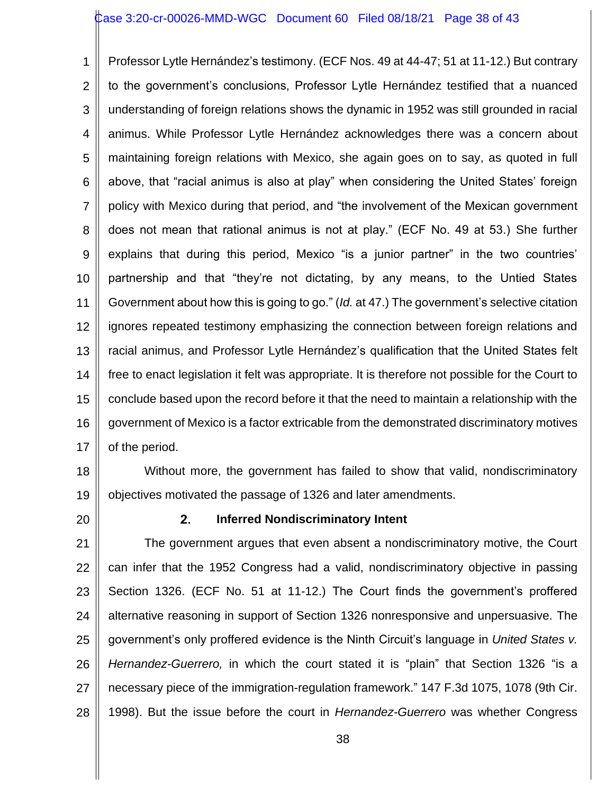### Case 3:20-cr-00026-MMD-WGC Document 60 Filed 08/18/21 Page 38 of 43

1 2 3 4 5 6 7 8 9 10 11 12 13 14 15 16 17 Professor Lytle Hernández's testimony. (ECF Nos. 49 at 44-47; 51 at 11-12.) But contrary to the government's conclusions, Professor Lytle Hernández testified that a nuanced understanding of foreign relations shows the dynamic in 1952 was still grounded in racial animus. While Professor Lytle Hernández acknowledges there was a concern about maintaining foreign relations with Mexico, she again goes on to say, as quoted in full above, that "racial animus is also at play" when considering the United States' foreign policy with Mexico during that period, and "the involvement of the Mexican government does not mean that rational animus is not at play." (ECF No. 49 at 53.) She further explains that during this period, Mexico "is a junior partner" in the two countries' partnership and that "they're not dictating, by any means, to the Untied States Government about how this is going to go." (*Id.* at 47.) The government's selective citation ignores repeated testimony emphasizing the connection between foreign relations and racial animus, and Professor Lytle Hernández's qualification that the United States felt free to enact legislation it felt was appropriate. It is therefore not possible for the Court to conclude based upon the record before it that the need to maintain a relationship with the government of Mexico is a factor extricable from the demonstrated discriminatory motives of the period.

18 19 Without more, the government has failed to show that valid, nondiscriminatory objectives motivated the passage of 1326 and later amendments.

20

#### $2.$ **Inferred Nondiscriminatory Intent**

21 22 23 24 25 26 27 28 The government argues that even absent a nondiscriminatory motive, the Court can infer that the 1952 Congress had a valid, nondiscriminatory objective in passing Section 1326. (ECF No. 51 at 11-12.) The Court finds the government's proffered alternative reasoning in support of Section 1326 nonresponsive and unpersuasive. The government's only proffered evidence is the Ninth Circuit's language in *United States v. Hernandez-Guerrero,* in which the court stated it is "plain" that Section 1326 "is a necessary piece of the immigration-regulation framework." 147 F.3d 1075, 1078 (9th Cir. 1998). But the issue before the court in *Hernandez-Guerrero* was whether Congress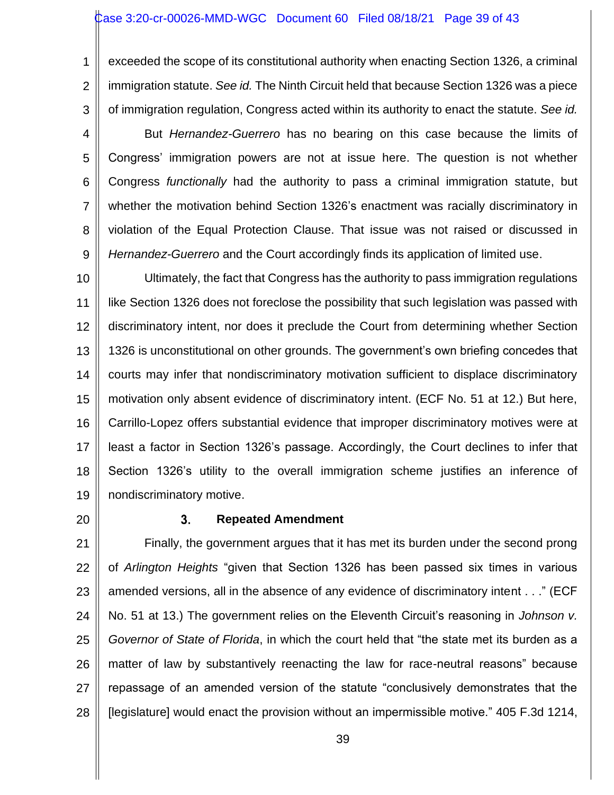#### Case 3:20-cr-00026-MMD-WGC Document 60 Filed 08/18/21 Page 39 of 43

exceeded the scope of its constitutional authority when enacting Section 1326, a criminal immigration statute. *See id.* The Ninth Circuit held that because Section 1326 was a piece of immigration regulation, Congress acted within its authority to enact the statute. *See id.*

4 5 6 7 8 9 But *Hernandez-Guerrero* has no bearing on this case because the limits of Congress' immigration powers are not at issue here. The question is not whether Congress *functionally* had the authority to pass a criminal immigration statute, but whether the motivation behind Section 1326's enactment was racially discriminatory in violation of the Equal Protection Clause. That issue was not raised or discussed in *Hernandez-Guerrero* and the Court accordingly finds its application of limited use.

10 11 12 13 14 15 16 17 18 19 Ultimately, the fact that Congress has the authority to pass immigration regulations like Section 1326 does not foreclose the possibility that such legislation was passed with discriminatory intent, nor does it preclude the Court from determining whether Section 1326 is unconstitutional on other grounds. The government's own briefing concedes that courts may infer that nondiscriminatory motivation sufficient to displace discriminatory motivation only absent evidence of discriminatory intent. (ECF No. 51 at 12.) But here, Carrillo-Lopez offers substantial evidence that improper discriminatory motives were at least a factor in Section 1326's passage. Accordingly, the Court declines to infer that Section 1326's utility to the overall immigration scheme justifies an inference of nondiscriminatory motive.

20

1

2

3

#### $3<sub>1</sub>$ **Repeated Amendment**

21 22 23 24 25 26 27 28 Finally, the government argues that it has met its burden under the second prong of *Arlington Heights* "given that Section 1326 has been passed six times in various amended versions, all in the absence of any evidence of discriminatory intent . . ." (ECF No. 51 at 13.) The government relies on the Eleventh Circuit's reasoning in *Johnson v. Governor of State of Florida*, in which the court held that "the state met its burden as a matter of law by substantively reenacting the law for race-neutral reasons" because repassage of an amended version of the statute "conclusively demonstrates that the [legislature] would enact the provision without an impermissible motive." 405 F.3d 1214,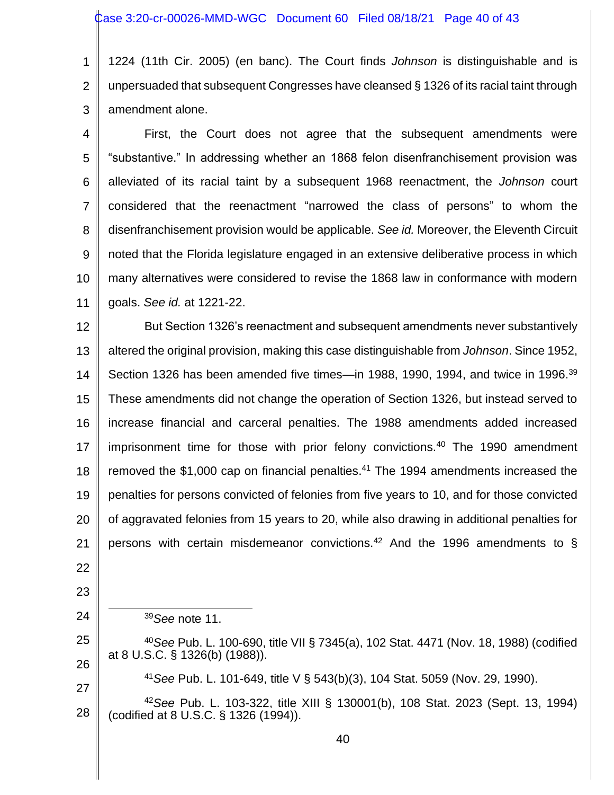1 2 3 1224 (11th Cir. 2005) (en banc). The Court finds *Johnson* is distinguishable and is unpersuaded that subsequent Congresses have cleansed § 1326 of its racial taint through amendment alone.

4 5 6 7 8 9 10 11 First, the Court does not agree that the subsequent amendments were "substantive." In addressing whether an 1868 felon disenfranchisement provision was alleviated of its racial taint by a subsequent 1968 reenactment, the *Johnson* court considered that the reenactment "narrowed the class of persons" to whom the disenfranchisement provision would be applicable. *See id.* Moreover, the Eleventh Circuit noted that the Florida legislature engaged in an extensive deliberative process in which many alternatives were considered to revise the 1868 law in conformance with modern goals. *See id.* at 1221-22.

12 13 14 15 16 17 18 19 20 21 But Section 1326's reenactment and subsequent amendments never substantively altered the original provision, making this case distinguishable from *Johnson*. Since 1952, Section 1326 has been amended five times—in 1988, 1990, 1994, and twice in 1996.<sup>39</sup> These amendments did not change the operation of Section 1326, but instead served to increase financial and carceral penalties. The 1988 amendments added increased imprisonment time for those with prior felony convictions.<sup>40</sup> The 1990 amendment removed the \$1,000 cap on financial penalties. <sup>41</sup> The 1994 amendments increased the penalties for persons convicted of felonies from five years to 10, and for those convicted of aggravated felonies from 15 years to 20, while also drawing in additional penalties for persons with certain misdemeanor convictions.<sup>42</sup> And the 1996 amendments to  $\S$ 

- 22
- 23 24

27

25 26 <sup>40</sup>*See* Pub. L. 100-690, title VII § 7345(a), 102 Stat. 4471 (Nov. 18, 1988) (codified at 8 U.S.C. § 1326(b) (1988)).

<sup>41</sup>*See* Pub. L. 101-649, title V § 543(b)(3), 104 Stat. 5059 (Nov. 29, 1990).

28 <sup>42</sup>*See* Pub. L. 103-322, title XIII § 130001(b), 108 Stat. 2023 (Sept. 13, 1994) (codified at 8 U.S.C. § 1326 (1994)).

<sup>39</sup>*See* note 11.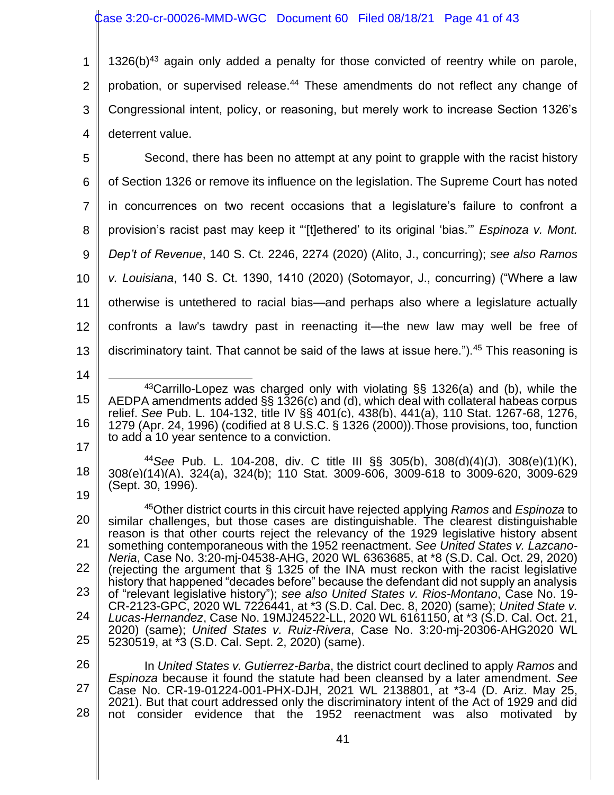1 2 3 4  $1326(b)^{43}$  again only added a penalty for those convicted of reentry while on parole, probation, or supervised release.<sup>44</sup> These amendments do not reflect any change of Congressional intent, policy, or reasoning, but merely work to increase Section 1326's deterrent value.

5 6 7 8 9 10 11 12 13 Second, there has been no attempt at any point to grapple with the racist history of Section 1326 or remove its influence on the legislation. The Supreme Court has noted in concurrences on two recent occasions that a legislature's failure to confront a provision's racist past may keep it "'[t]ethered' to its original 'bias.'" *Espinoza v. Mont. Dep't of Revenue*, 140 S. Ct. 2246, 2274 (2020) (Alito, J., concurring); *see also Ramos v. Louisiana*, 140 S. Ct. 1390, 1410 (2020) (Sotomayor, J., concurring) ("Where a law otherwise is untethered to racial bias—and perhaps also where a legislature actually confronts a law's tawdry past in reenacting it—the new law may well be free of discriminatory taint. That cannot be said of the laws at issue here.").<sup>45</sup> This reasoning is

18 19 <sup>44</sup>*See* Pub. L. 104-208, div. C title III §§ 305(b), 308(d)(4)(J), 308(e)(1)(K), 308(e)(14)(A), 324(a), 324(b); 110 Stat. 3009-606, 3009-618 to 3009-620, 3009-629 (Sept. 30, 1996).

20 21 22 23 24 25 <sup>45</sup>Other district courts in this circuit have rejected applying *Ramos* and *Espinoza* to similar challenges, but those cases are distinguishable. The clearest distinguishable reason is that other courts reject the relevancy of the 1929 legislative history absent something contemporaneous with the 1952 reenactment. *See United States v. Lazcano-Neria*, Case No. 3:20-mj-04538-AHG, 2020 WL 6363685, at \*8 (S.D. Cal. Oct. 29, 2020) (rejecting the argument that § 1325 of the INA must reckon with the racist legislative history that happened "decades before" because the defendant did not supply an analysis of "relevant legislative history"); *see also United States v. Rios-Montano*, Case No. 19- CR-2123-GPC, 2020 WL 7226441, at \*3 (S.D. Cal. Dec. 8, 2020) (same); *United State v. Lucas-Hernandez*, Case No. 19MJ24522-LL, 2020 WL 6161150, at \*3 (S.D. Cal. Oct. 21, 2020) (same); *United States v. Ruiz-Rivera*, Case No. 3:20-mj-20306-AHG2020 WL 5230519, at \*3 (S.D. Cal. Sept. 2, 2020) (same).

26 27 28 In *United States v. Gutierrez-Barba*, the district court declined to apply *Ramos* and *Espinoza* because it found the statute had been cleansed by a later amendment. *See* Case No. CR-19-01224-001-PHX-DJH, 2021 WL 2138801, at \*3-4 (D. Ariz. May 25, 2021). But that court addressed only the discriminatory intent of the Act of 1929 and did not consider evidence that the 1952 reenactment was also motivated by

<sup>14</sup> 15 16 17 <sup>43</sup>Carrillo-Lopez was charged only with violating  $\S$ § 1326(a) and (b), while the AEDPA amendments added §§ 1326(c) and (d), which deal with collateral habeas corpus relief. *See* Pub. L. 104-132, title IV §§ 401(c), 438(b), 441(a), 110 Stat. 1267-68, 1276, 1279 (Apr. 24, 1996) (codified at 8 U.S.C. § 1326 (2000)).Those provisions, too, function to add a 10 year sentence to a conviction.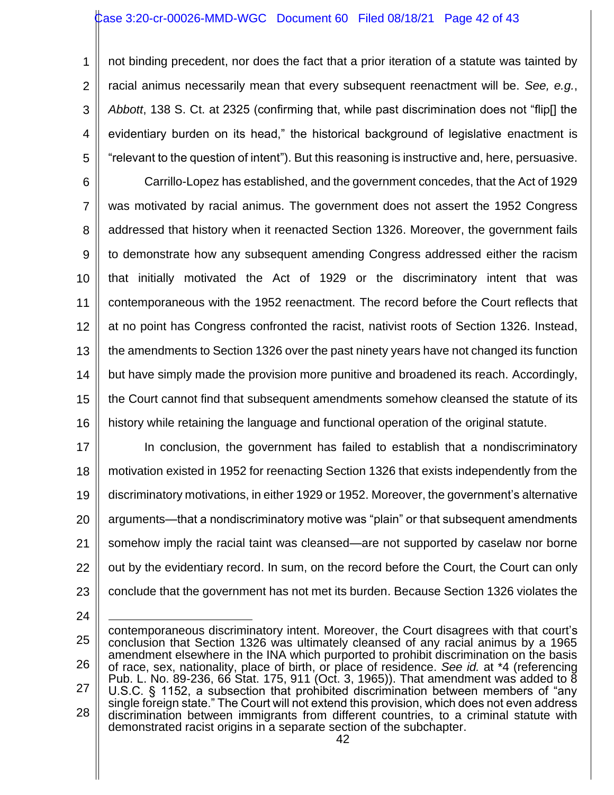# Case 3:20-cr-00026-MMD-WGC Document 60 Filed 08/18/21 Page 42 of 43

2 3 4 5 not binding precedent, nor does the fact that a prior iteration of a statute was tainted by racial animus necessarily mean that every subsequent reenactment will be. *See, e.g.*, *Abbott*, 138 S. Ct. at 2325 (confirming that, while past discrimination does not "flip[] the evidentiary burden on its head," the historical background of legislative enactment is "relevant to the question of intent"). But this reasoning is instructive and, here, persuasive.

6 7 8 9 10 11 12 13 14 15 16 Carrillo-Lopez has established, and the government concedes, that the Act of 1929 was motivated by racial animus. The government does not assert the 1952 Congress addressed that history when it reenacted Section 1326. Moreover, the government fails to demonstrate how any subsequent amending Congress addressed either the racism that initially motivated the Act of 1929 or the discriminatory intent that was contemporaneous with the 1952 reenactment. The record before the Court reflects that at no point has Congress confronted the racist, nativist roots of Section 1326. Instead, the amendments to Section 1326 over the past ninety years have not changed its function but have simply made the provision more punitive and broadened its reach. Accordingly, the Court cannot find that subsequent amendments somehow cleansed the statute of its history while retaining the language and functional operation of the original statute.

17 18 19 20 21 22 23 In conclusion, the government has failed to establish that a nondiscriminatory motivation existed in 1952 for reenacting Section 1326 that exists independently from the discriminatory motivations, in either 1929 or 1952. Moreover, the government's alternative arguments—that a nondiscriminatory motive was "plain" or that subsequent amendments somehow imply the racial taint was cleansed—are not supported by caselaw nor borne out by the evidentiary record. In sum, on the record before the Court, the Court can only conclude that the government has not met its burden. Because Section 1326 violates the

24

<sup>25</sup> 26 27 28 contemporaneous discriminatory intent. Moreover, the Court disagrees with that court's conclusion that Section 1326 was ultimately cleansed of any racial animus by a 1965 amendment elsewhere in the INA which purported to prohibit discrimination on the basis of race, sex, nationality, place of birth, or place of residence. *See id.* at \*4 (referencing Pub. L. No. 89-236, 66 Stat. 175, 911 (Oct. 3, 1965)). That amendment was added to 8 U.S.C. § 1152, a subsection that prohibited discrimination between members of "any single foreign state." The Court will not extend this provision, which does not even address discrimination between immigrants from different countries, to a criminal statute with demonstrated racist origins in a separate section of the subchapter.